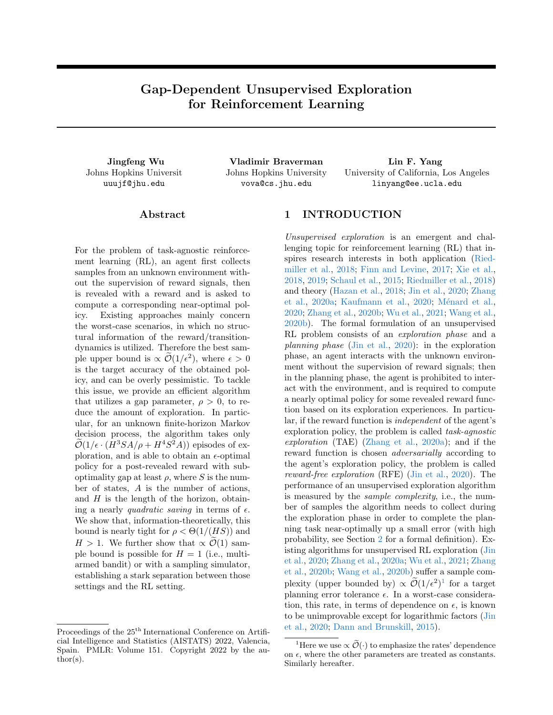# Gap-Dependent Unsupervised Exploration for Reinforcement Learning

Johns Hopkins Universit uuujf@jhu.edu

Jingfeng Wu Vladimir Braverman Lin F. Yang Johns Hopkins University vova@cs.jhu.edu

University of California, Los Angeles linyang@ee.ucla.edu

### ${\rm Abstract}$

For the problem of task-agnostic reinforcement learning (RL), an agent first collects samples from an unknown environment without the supervision of reward signals, then is revealed with a reward and is asked to compute a corresponding near-optimal policy. Existing approaches mainly concern the worst-case scenarios, in which no structural information of the reward/transitiondynamics is utilized. Therefore the best sample upper bound is  $\propto \mathcal{O}(1/\epsilon^2)$ , where  $\epsilon > 0$ is the target accuracy of the obtained policy, and can be overly pessimistic. To tackle this issue, we provide an efficient algorithm that utilizes a gap parameter,  $\rho > 0$ , to reduce the amount of exploration. In particular, for an unknown finite-horizon Markov decision process, the algorithm takes only  $\mathcal{O}(1/\epsilon \cdot (H^3SA/\rho + H^4S^2A))$  episodes of exploration, and is able to obtain an  $\epsilon$ -optimal policy for a post-revealed reward with suboptimality gap at least  $\rho$ , where S is the number of states, A is the number of actions, and  $H$  is the length of the horizon, obtaining a nearly quadratic saving in terms of  $\epsilon$ . We show that, information-theoretically, this bound is nearly tight for  $\rho < \Theta(1/(HS))$  and  $H > 1$ . We further show that  $\propto \mathcal{O}(1)$  sample bound is possible for  $H = 1$  (i.e., multiarmed bandit) or with a sampling simulator, establishing a stark separation between those settings and the RL setting.

# 1 INTRODUCTION

Unsupervised exploration is an emergent and challenging topic for reinforcement learning (RL) that inspires research interests in both application [\(Ried](#page-9-0)[miller et al.,](#page-9-0) [2018;](#page-9-0) [Finn and Levine,](#page-9-1) [2017;](#page-9-1) [Xie et al.,](#page-10-0) [2018,](#page-10-0) [2019;](#page-10-1) [Schaul et al.,](#page-9-2) [2015;](#page-9-2) [Riedmiller et al.,](#page-9-0) [2018\)](#page-9-0) and theory [\(Hazan et al.,](#page-9-3) [2018;](#page-9-3) [Jin et al.,](#page-9-4) [2020;](#page-9-4) [Zhang](#page-10-2) [et al.,](#page-10-2) [2020a;](#page-10-2) [Kaufmann et al.,](#page-9-5) [2020;](#page-9-5) Ménard et al., [2020;](#page-9-6) [Zhang et al.,](#page-10-3) [2020b;](#page-10-3) [Wu et al.,](#page-10-4) [2021;](#page-10-4) [Wang et al.,](#page-10-5) [2020b\)](#page-10-5). The formal formulation of an unsupervised RL problem consists of an exploration phase and a planning phase [\(Jin et al.,](#page-9-4) [2020\)](#page-9-4): in the exploration phase, an agent interacts with the unknown environment without the supervision of reward signals; then in the planning phase, the agent is prohibited to interact with the environment, and is required to compute a nearly optimal policy for some revealed reward function based on its exploration experiences. In particular, if the reward function is independent of the agent's exploration policy, the problem is called task-agnostic exploration (TAE) [\(Zhang et al.,](#page-10-2) [2020a\)](#page-10-2); and if the reward function is chosen adversarially according to the agent's exploration policy, the problem is called reward-free exploration (RFE) [\(Jin et al.,](#page-9-4) [2020\)](#page-9-4). The performance of an unsupervised exploration algorithm is measured by the sample complexity, i.e., the number of samples the algorithm needs to collect during the exploration phase in order to complete the planning task near-optimally up a small error (with high probability, see Section [2](#page-2-0) for a formal definition). Existing algorithms for unsupervised RL exploration [\(Jin](#page-9-4) [et al.,](#page-9-4) [2020;](#page-9-4) [Zhang et al.,](#page-10-2) [2020a;](#page-10-2) [Wu et al.,](#page-10-4) [2021;](#page-10-4) [Zhang](#page-10-3) [et al.,](#page-10-3) [2020b;](#page-10-3) [Wang et al.,](#page-10-5) [2020b\)](#page-10-5) suffer a sample complexity (upper bounded by)  $\propto \mathcal{O}(1/\epsilon^2)^1$  $\propto \mathcal{O}(1/\epsilon^2)^1$  $\propto \mathcal{O}(1/\epsilon^2)^1$  for a target planning error tolerance  $\epsilon$ . In a worst-case consideration, this rate, in terms of dependence on  $\epsilon$ , is known to be unimprovable except for logarithmic factors [\(Jin](#page-9-4) [et al.,](#page-9-4) [2020;](#page-9-4) [Dann and Brunskill,](#page-8-0) [2015\)](#page-8-0).

Proceedings of the  $25<sup>th</sup>$  International Conference on Artificial Intelligence and Statistics (AISTATS) 2022, Valencia, Spain. PMLR: Volume 151. Copyright 2022 by the author(s).

<span id="page-0-0"></span><sup>&</sup>lt;sup>1</sup>Here we use  $\propto \widetilde{\mathcal{O}}(\cdot)$  to emphasize the rates' dependence on  $\epsilon$ , where the other parameters are treated as constants. Similarly hereafter.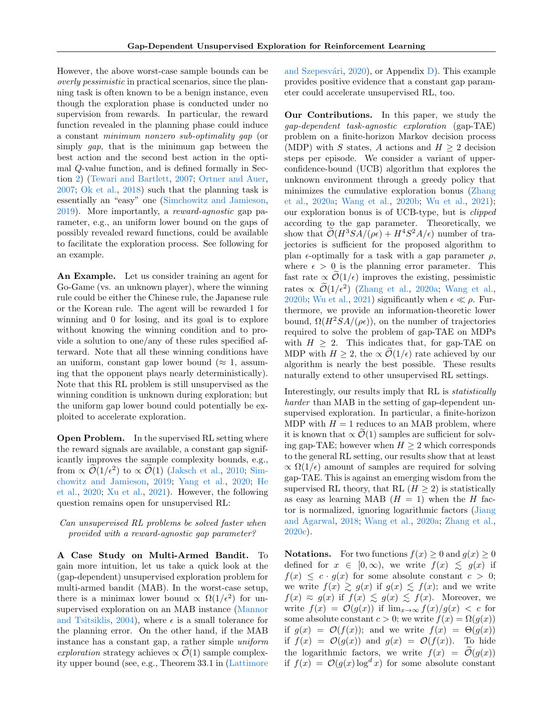However, the above worst-case sample bounds can be overly pessimistic in practical scenarios, since the planning task is often known to be a benign instance, even though the exploration phase is conducted under no supervision from rewards. In particular, the reward function revealed in the planning phase could induce a constant minimum nonzero sub-optimality gap (or simply gap, that is the minimum gap between the best action and the second best action in the optimal Q-value function, and is defined formally in Section [2\)](#page-2-0) [\(Tewari and Bartlett,](#page-9-7) [2007;](#page-9-7) [Ortner and Auer,](#page-9-8) [2007;](#page-9-8) [Ok et al.,](#page-9-9) [2018\)](#page-9-9) such that the planning task is essentially an "easy" one [\(Simchowitz and Jamieson,](#page-9-10) [2019\)](#page-9-10). More importantly, a reward-agnostic gap parameter, e.g., an uniform lower bound on the gaps of possibly revealed reward functions, could be available to facilitate the exploration process. See following for an example.

An Example. Let us consider training an agent for Go-Game (vs. an unknown player), where the winning rule could be either the Chinese rule, the Japanese rule or the Korean rule. The agent will be rewarded 1 for winning and 0 for losing, and its goal is to explore without knowing the winning condition and to provide a solution to one/any of these rules specified afterward. Note that all these winning conditions have an uniform, constant gap lower bound ( $\approx 1$ , assuming that the opponent plays nearly deterministically). Note that this RL problem is still unsupervised as the winning condition is unknown during exploration; but the uniform gap lower bound could potentially be exploited to accelerate exploration.

Open Problem. In the supervised RL setting where the reward signals are available, a constant gap significantly improves the sample complexity bounds, e.g., from  $\propto \mathcal{O}(1/\epsilon^2)$  to  $\propto \mathcal{O}(1)$  [\(Jaksch et al.,](#page-9-11) [2010;](#page-9-11) [Sim](#page-9-10)[chowitz and Jamieson,](#page-9-10) [2019;](#page-9-10) [Yang et al.,](#page-10-6) [2020;](#page-10-6) [He](#page-9-12) [et al.,](#page-9-12) [2020;](#page-9-12) [Xu et al.,](#page-10-7) [2021\)](#page-10-7). However, the following question remains open for unsupervised RL:

### Can unsupervised RL problems be solved faster when provided with a reward-agnostic gap parameter?

A Case Study on Multi-Armed Bandit. To gain more intuition, let us take a quick look at the (gap-dependent) unsupervised exploration problem for multi-armed bandit (MAB). In the worst-case setup, there is a minimax lower bound  $\propto \Omega(1/\epsilon^2)$  for unsupervised exploration on an MAB instance [\(Mannor](#page-9-13) [and Tsitsiklis,](#page-9-13) [2004\)](#page-9-13), where  $\epsilon$  is a small tolerance for the planning error. On the other hand, if the MAB instance has a constant gap, a rather simple uniform exploration strategy achieves  $\propto \mathcal{O}(1)$  sample complexity upper bound (see, e.g., Theorem 33.1 in [\(Lattimore](#page-9-14) and Szepesvári,  $2020$ ), or Appendix [D\)](#page-21-0). This example provides positive evidence that a constant gap parameter could accelerate unsupervised RL, too.

Our Contributions. In this paper, we study the gap-dependent task-agnostic exploration (gap-TAE) problem on a finite-horizon Markov decision process (MDP) with S states, A actions and  $H > 2$  decision steps per episode. We consider a variant of upperconfidence-bound (UCB) algorithm that explores the unknown environment through a greedy policy that minimizes the cumulative exploration bonus [\(Zhang](#page-10-2) [et al.,](#page-10-2) [2020a;](#page-10-2) [Wang et al.,](#page-10-5) [2020b;](#page-10-5) [Wu et al.,](#page-10-4) [2021\)](#page-10-4); our exploration bonus is of UCB-type, but is clipped according to the gap parameter. Theoretically, we show that  $\mathcal{O}(H^3SA/(\rho\epsilon) + H^4S^2A/\epsilon)$  number of trajectories is sufficient for the proposed algorithm to plan  $\epsilon$ -optimally for a task with a gap parameter  $\rho$ , where  $\epsilon > 0$  is the planning error parameter. This fast rate  $\propto \mathcal{O}(1/\epsilon)$  improves the existing, pessimistic rates  $\propto \mathcal{O}(1/\epsilon^2)$  [\(Zhang et al.,](#page-10-2) [2020a;](#page-10-2) [Wang et al.,](#page-10-5) [2020b;](#page-10-5) [Wu et al.,](#page-10-4) [2021\)](#page-10-4) significantly when  $\epsilon \ll \rho$ . Furthermore, we provide an information-theoretic lower bound,  $\Omega(H^2SA/(\rho\epsilon))$ , on the number of trajectories required to solve the problem of gap-TAE on MDPs with  $H \geq 2$ . This indicates that, for gap-TAE on MDP with  $H \geq 2$ , the  $\propto \mathcal{O}(1/\epsilon)$  rate achieved by our algorithm is nearly the best possible. These results naturally extend to other unsupervised RL settings.

Interestingly, our results imply that RL is statistically harder than MAB in the setting of gap-dependent unsupervised exploration. In particular, a finite-horizon MDP with  $H = 1$  reduces to an MAB problem, where it is known that  $\propto \mathcal{O}(1)$  samples are sufficient for solving gap-TAE; however when  $H \geq 2$  which corresponds to the general RL setting, our results show that at least  $\propto \Omega(1/\epsilon)$  amount of samples are required for solving gap-TAE. This is against an emerging wisdom from the supervised RL theory, that RL  $(H > 2)$  is statistically as easy as learning MAB  $(H = 1)$  when the H factor is normalized, ignoring logarithmic factors [\(Jiang](#page-9-15) [and Agarwal,](#page-9-15) [2018;](#page-9-15) [Wang et al.,](#page-9-16) [2020a;](#page-9-16) [Zhang et al.,](#page-10-8) [2020c\)](#page-10-8).

**Notations.** For two functions  $f(x) \ge 0$  and  $g(x) \ge 0$ defined for  $x \in [0,\infty)$ , we write  $f(x) \leq g(x)$  if  $f(x) \leq c \cdot g(x)$  for some absolute constant  $c > 0$ ; we write  $f(x) \geq g(x)$  if  $g(x) \leq f(x)$ ; and we write  $f(x) \approx g(x)$  if  $f(x) \lesssim g(x) \lesssim f(x)$ . Moreover, we write  $f(x) = \mathcal{O}(g(x))$  if  $\lim_{x\to\infty} f(x)/g(x) < c$  for some absolute constant  $c > 0$ ; we write  $f(x) = \Omega(g(x))$ if  $g(x) = \mathcal{O}(f(x))$ ; and we write  $f(x) = \Theta(g(x))$ if  $f(x) = \mathcal{O}(g(x))$  and  $g(x) = \mathcal{O}(f(x))$ . To hide the logarithmic factors, we write  $f(x) = \mathcal{O}(g(x))$ if  $f(x) = \mathcal{O}(g(x) \log^d x)$  for some absolute constant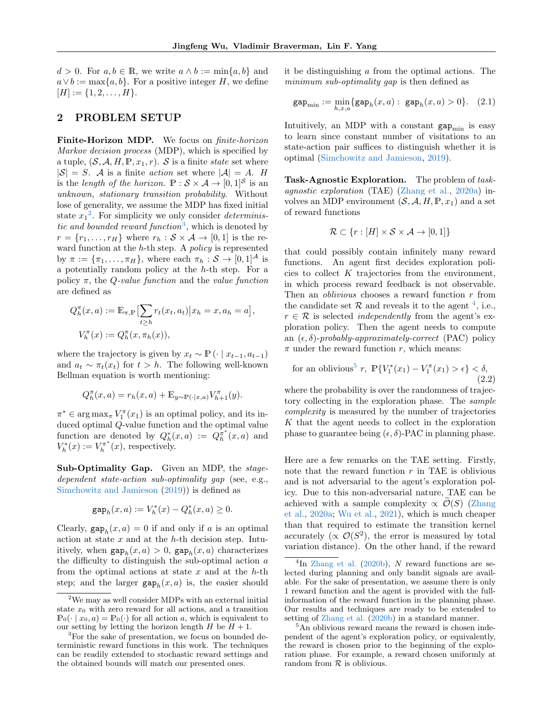$d > 0$ . For  $a, b \in \mathbb{R}$ , we write  $a \wedge b := \min\{a, b\}$  and  $a \vee b := \max\{a, b\}.$  For a positive integer H, we define  $[H] := \{1, 2, \ldots, H\}.$ 

#### <span id="page-2-0"></span>2 PROBLEM SETUP

Finite-Horizon MDP. We focus on *finite-horizon* Markov decision process (MDP), which is specified by a tuple,  $(S, \mathcal{A}, H, \mathbb{P}, x_1, r)$ . S is a finite state set where  $|S| = S$ . A is a finite *action* set where  $|A| = A$ . H is the length of the horizon.  $\mathbb{P}: \mathcal{S} \times \mathcal{A} \to [0,1]^{\mathcal{S}}$  is an unknown, stationary transition probability. Without lose of generality, we assume the MDP has fixed initial state  $x_1^2$  $x_1^2$ . For simplicity we only consider *determinis*-tic and bounded reward function<sup>[3](#page-2-2)</sup>, which is denoted by  $r = \{r_1, \ldots, r_H\}$  where  $r_h : \mathcal{S} \times \mathcal{A} \rightarrow [0, 1]$  is the reward function at the  $h$ -th step. A *policy* is represented by  $\pi := {\lbrace \pi_1, \ldots, \pi_H \rbrace}$ , where each  $\pi_h : S \to [0, 1]^{\mathcal{A}}$  is a potentially random policy at the h-th step. For a policy  $\pi$ , the Q-value function and the value function are defined as

$$
Q_h^{\pi}(x, a) := \mathbb{E}_{\pi, \mathbb{P}} \left[ \sum_{t \ge h} r_t(x_t, a_t) \middle| x_h = x, a_h = a \right],
$$
  

$$
V_h^{\pi}(x) := Q_h^{\pi}(x, \pi_h(x)),
$$

where the trajectory is given by  $x_t \sim \mathbb{P}(\cdot | x_{t-1}, a_{t-1})$ and  $a_t \sim \pi_t(x_t)$  for  $t > h$ . The following well-known Bellman equation is worth mentioning:

$$
Q_h^{\pi}(x, a) = r_h(x, a) + \mathbb{E}_{y \sim \mathbb{P}(\cdot | x, a)} V_{h+1}^{\pi}(y).
$$

 $\pi^* \in \arg \max_{\pi} V_1^{\pi}(x_1)$  is an optimal policy, and its induced optimal Q-value function and the optimal value function are denoted by  $Q_h^*(x, a) := Q_h^{\pi^*}(x, a)$  and  $V_h^*(x) := V_h^{\pi^*}(x)$ , respectively.

Sub-Optimality Gap. Given an MDP, the stagedependent state-action sub-optimality gap (see, e.g., [Simchowitz and Jamieson](#page-9-10) [\(2019\)](#page-9-10)) is defined as

$$
\text{gap}_h(x, a) := V_h^*(x) - Q_h^*(x, a) \ge 0.
$$

Clearly,  $\text{gap}_h(x, a) = 0$  if and only if a is an optimal action at state  $x$  and at the  $h$ -th decision step. Intuitively, when  $\text{gap}_h(x, a) > 0$ ,  $\text{gap}_h(x, a)$  characterizes the difficulty to distinguish the sub-optimal action  $a$ from the optimal actions at state  $x$  and at the  $h$ -th step; and the larger  $\text{gap}_h(x, a)$  is, the easier should

it be distinguishing a from the optimal actions. The minimum sub-optimality gap is then defined as

<span id="page-2-6"></span>
$$
gap_{\min} := \min_{h,x,a} \{ gap_h(x,a) : gap_h(x,a) > 0 \}. (2.1)
$$

Intuitively, an MDP with a constant  $\text{gap}_{\text{min}}$  is easy to learn since constant number of visitations to an state-action pair suffices to distinguish whether it is optimal [\(Simchowitz and Jamieson,](#page-9-10) [2019\)](#page-9-10).

Task-Agnostic Exploration. The problem of taskagnostic exploration (TAE) [\(Zhang et al.,](#page-10-2) [2020a\)](#page-10-2) involves an MDP environment  $(S, \mathcal{A}, H, P, x_1)$  and a set of reward functions

$$
\mathcal{R} \subset \{r : [H] \times \mathcal{S} \times \mathcal{A} \to [0,1]\}
$$

that could possibly contain infinitely many reward functions. An agent first decides exploration policies to collect  $K$  trajectories from the environment, in which process reward feedback is not observable. Then an *oblivious* chooses a reward function  $r$  from the candidate set  $R$  and reveals it to the agent <sup>[4](#page-2-3)</sup>, i.e.,  $r \in \mathcal{R}$  is selected *independently* from the agent's exploration policy. Then the agent needs to compute an  $(\epsilon, \delta)$ -probably-approximately-correct (PAC) policy  $\pi$  under the reward function r, which means:

<span id="page-2-5"></span>for an oblivious<sup>5</sup> r, 
$$
\mathbb{P}\{V_1^*(x_1) - V_1^{\pi}(x_1) > \epsilon\} < \delta,
$$
 (2.2)

where the probability is over the randomness of trajectory collecting in the exploration phase. The sample complexity is measured by the number of trajectories K that the agent needs to collect in the exploration phase to guarantee being  $(\epsilon, \delta)$ -PAC in planning phase.

Here are a few remarks on the TAE setting. Firstly, note that the reward function  $r$  in TAE is oblivious and is not adversarial to the agent's exploration policy. Due to this non-adversarial nature, TAE can be achieved with a sample complexity  $\propto \mathcal{O}(S)$  [\(Zhang](#page-10-2) [et al.,](#page-10-2) [2020a;](#page-10-2) [Wu et al.,](#page-10-4) [2021\)](#page-10-4), which is much cheaper than that required to estimate the transition kernel accurately ( $\propto \mathcal{O}(S^2)$ , the error is measured by total variation distance). On the other hand, if the reward

<span id="page-2-1"></span><sup>2</sup>We may as well consider MDPs with an external initial state  $x_0$  with zero reward for all actions, and a transition  $\mathbb{P}_0(\cdot \mid x_0, a) = \mathbb{P}_0(\cdot)$  for all action a, which is equivalent to our setting by letting the horizon length  $H$  be  $H + 1$ .

<span id="page-2-2"></span><sup>&</sup>lt;sup>3</sup>For the sake of presentation, we focus on bounded deterministic reward functions in this work. The techniques can be readily extended to stochastic reward settings and the obtained bounds will match our presented ones.

<span id="page-2-3"></span> ${}^{4}$ In [Zhang et al.](#page-10-3) [\(2020b\)](#page-10-3), N reward functions are selected during planning and only bandit signals are available. For the sake of presentation, we assume there is only 1 reward function and the agent is provided with the fullinformation of the reward function in the planning phase. Our results and techniques are ready to be extended to setting of [Zhang et al.](#page-10-3) [\(2020b\)](#page-10-3) in a standard manner.

<span id="page-2-4"></span><sup>&</sup>lt;sup>5</sup>An oblivious reward means the reward is chosen independent of the agent's exploration policy, or equivalently, the reward is chosen prior to the beginning of the exploration phase. For example, a reward chosen uniformly at random from  $R$  is oblivious.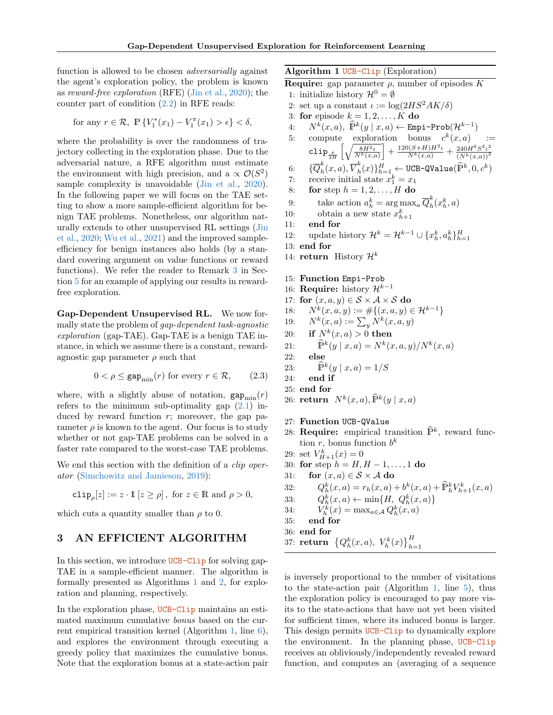function is allowed to be chosen *adversarially* against the agent's exploration policy, the problem is known as reward-free exploration (RFE) [\(Jin et al.,](#page-9-4) [2020\)](#page-9-4); the counter part of condition [\(2.2\)](#page-2-5) in RFE reads:

for any 
$$
r \in \mathcal{R}
$$
,  $\mathbb{P}\left\{V_1^*(x_1) - V_1^{\pi}(x_1) > \epsilon\right\} < \delta$ ,

where the probability is over the randomness of trajectory collecting in the exploration phase. Due to the adversarial nature, a RFE algorithm must estimate the environment with high precision, and a  $\propto \mathcal{O}(S^2)$ sample complexity is unavoidable [\(Jin et al.,](#page-9-4) [2020\)](#page-9-4). In the following paper we will focus on the TAE setting to show a more sample-efficient algorithm for benign TAE problems. Nonetheless, our algorithm naturally extends to other unsupervised RL settings [\(Jin](#page-9-4) [et al.,](#page-9-4) [2020;](#page-9-4) [Wu et al.,](#page-10-4) [2021\)](#page-10-4) and the improved sampleefficiency for benign instances also holds (by a standard covering argument on value functions or reward functions). We refer the reader to Remark [3](#page-5-0) in Section [5](#page-6-0) for an example of applying our results in rewardfree exploration.

Gap-Dependent Unsupervised RL. We now formally state the problem of gap-dependent task-agnostic exploration (gap-TAE). Gap-TAE is a benign TAE instance, in which we assume there is a constant, rewardagnostic gap parameter  $\rho$  such that

<span id="page-3-3"></span>
$$
0 < \rho \le \text{gap}_{\min}(r) \text{ for every } r \in \mathcal{R}, \qquad (2.3)
$$

where, with a slightly abuse of notation,  $\text{gap}_{\text{min}}(r)$ refers to the minimum sub-optimality gap  $(2.1)$  induced by reward function  $r$ ; moreover, the gap parameter  $\rho$  is known to the agent. Our focus is to study whether or not gap-TAE problems can be solved in a faster rate compared to the worst-case TAE problems.

We end this section with the definition of a *clip oper*ator [\(Simchowitz and Jamieson,](#page-9-10) [2019\)](#page-9-10):

 $\texttt{clip}_{\rho}[z] := z \cdot \mathbb{1} [z \ge \rho], \text{ for } z \in \mathbb{R} \text{ and } \rho > 0,$ 

which cuts a quantity smaller than  $\rho$  to 0.

### 3 AN EFFICIENT ALGORITHM

In this section, we introduce UCB-Clip for solving gap-TAE in a sample-efficient manner. The algorithm is formally presented as Algorithms [1](#page-3-0) and [2,](#page-4-0) for exploration and planning, respectively.

In the exploration phase, UCB-Clip maintains an estimated maximum cumulative bonus based on the current empirical transition kernel (Algorithm [1,](#page-3-0) line [6\)](#page-3-1), and explores the environment through executing a greedy policy that maximizes the cumulative bonus. Note that the exploration bonus at a state-action pair <span id="page-3-0"></span>Algorithm 1 UCB-Clip (Exploration)

**Require:** gap parameter  $\rho$ , number of episodes K

- 1: initialize history  $\mathcal{H}^0 = \emptyset$
- 2: set up a constant  $\iota := \log(2HS^2 AK/\delta)$
- 3: for episode  $k = 1, 2, \ldots, K$  do
- <span id="page-3-2"></span>4:  $N^k(x,a)$ ,  $\widehat{\mathbb{P}}^k(y \mid x, a) \leftarrow \text{Empi-Prob}(\mathcal{H}^{k-1})$
- <span id="page-3-1"></span>5: compute exploration bonus  $c^k(x,a)$  :=  $\mathtt{clip}_{\frac{\rho}{2H}}$  $\sqrt{\frac{8H^2\iota}{N^k(x,a)}}$  $\left] + \frac{120(S+H)H^3\iota}{N^k(x,a)} + \frac{240H^6S^2\iota^2}{(N^k(x,a))^2} \right]$  $(N^k(x,a))^2$
- 6:  $\{\overline{Q}_h^k\}$  $_{h}^{k}(x,a),\overline{V}_{h}^{k}% (a,b),\overline{v}_{h}^{k}(a,b),\overline{v}_{h}^{k}(a,b),\overline{v}_{h}^{k}(a,b),$  $\{f_h^k(x)\}_{h=1}^H$   $\leftarrow$  UCB-QValue $(\widehat{\mathbb{P}}^k, 0, c^k)$
- 7: receive initial state  $x_1^k = x_1$
- 8: **for** step  $h = 1, 2, \ldots, H$  do
- 9: take action  $a_h^k = \arg \max_a \overline{Q}_h^k$  $h^k(x_h^k, a)$
- 10: obtain a new state  $x_{h+1}^k$
- 11: end for
- 12: update history  $\mathcal{H}^k = \mathcal{H}^{k-1} \cup \{x_h^k, a_h^k\}_{h=1}^H$
- 13: end for
- 14: **return** History  $\mathcal{H}^k$

15: Function Empi-Prob

- 16: Require: history  $\mathcal{H}^{k-1}$
- 17: for (x, a, y) ∈ S × A × S do
- 18:  $N^k(x, a, y) := \# \{ (x, a, y) \in \mathcal{H}^{k-1} \}$
- 19:  $N^k(x, a) := \sum_{y} N^k(x, a, y)$
- 20: if  $N^k(x,a) > 0$  then

21: 
$$
\widehat{\mathbb{P}}^k(y \mid x, a) = N^k(x, a, y) / N^k(x, a)
$$

- 22: else
- 23:  $\widehat{\mathbb{P}}^k(y \mid x, a) = 1/S$
- 24: end if
- 25: end for
- 26: return  $N^k(x,a), \widehat{\mathbb{P}}^k(y \mid x, a)$
- 27: Function UCB-QValue
- 28: Require: empirical transition  $\widehat{\mathbb{P}}^k$ , reward function  $r$ , bonus function  $b^k$
- 29: set  $V_{H+1}^k(x) = 0$
- 30: for step  $h = H, H 1, ..., 1$  do<br>31: for  $(x, a) \in S \times A$  do
- 31: **for**  $(x, a) \in S \times A$  do<br>32:  $Q_h^k(x, a) = r_h(x, a) +$
- 32:  $Q_h^k(x, a) = r_h(x, a) + b^k(x, a) + \hat{P}_h^k V_{h+1}^k(x, a)$
- 33:  $Q_h^k(x, a) \leftarrow \min\{H, Q_h^k(x, a)\}$
- 34:  $K_h^{\overline{k}}(x) = \max_{a \in \mathcal{A}} Q_h^k(x, a)$
- 35: end for
- 36: end for

37: return 
$$
\{Q_h^k(x, a), V_h^k(x)\}_{h=1}^H
$$

is inversely proportional to the number of visitations to the state-action pair (Algorithm [1,](#page-3-0) line [5\)](#page-3-2), thus the exploration policy is encouraged to pay more visits to the state-actions that have not yet been visited for sufficient times, where its induced bonus is larger. This design permits UCB-Clip to dynamically explore the environment. In the planning phase, UCB-Clip receives an obliviously/independently revealed reward function, and computes an (averaging of a sequence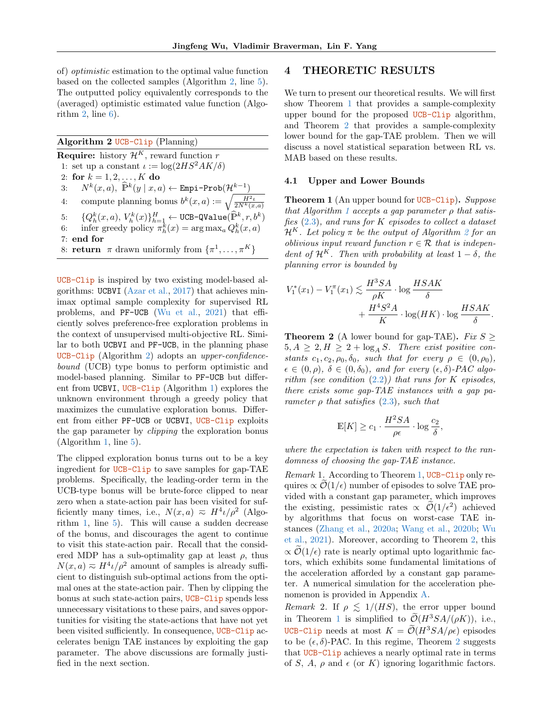of) optimistic estimation to the optimal value function based on the collected samples (Algorithm [2,](#page-4-0) line [5\)](#page-4-1). The outputted policy equivalently corresponds to the (averaged) optimistic estimated value function (Algorithm  $2$ , line  $6$ ).

<span id="page-4-0"></span>Algorithm 2 UCB-Clip (Planning) **Require:** history  $\mathcal{H}^K$ , reward function r 1: set up a constant  $\iota := \log(2HS^2 AK/\delta)$ 2: for  $k = 1, 2, ..., K$  do 3:  $N^k(x,a)$ ,  $\widehat{\mathbb{P}}^k(y \mid x, a) \leftarrow \text{Empi-Prob}(\mathcal{H}^{k-1})$ 4: compute planning bonus  $b^k(x, a) := \sqrt{\frac{H^2 t}{2N^k(x,a)}}$  $\{Q_h^k(x,a),\,V_h^k(x)\}_{h=1}^H \leftarrow \texttt{UCB-Qualue}(\widehat{\mathbb{P}}^k, r, b^k)$ 6: infer greedy policy  $\pi_h^{\overline{k}}(x) = \arg \max_a Q_h^k(x, a)$ 7: end for 8: **return**  $\pi$  drawn uniformly from  $\{\pi^1, \ldots, \pi^K\}$ 

UCB-Clip is inspired by two existing model-based algorithms: UCBVI [\(Azar et al.,](#page-8-1) [2017\)](#page-8-1) that achieves minimax optimal sample complexity for supervised RL problems, and PF-UCB [\(Wu et al.,](#page-10-4) [2021\)](#page-10-4) that efficiently solves preference-free exploration problems in the context of unsupervised multi-objective RL. Similar to both UCBVI and PF-UCB, in the planning phase UCB-Clip (Algorithm [2\)](#page-4-0) adopts an upper-confidencebound (UCB) type bonus to perform optimistic and model-based planning. Similar to PF-UCB but different from UCBVI, UCB-Clip (Algorithm [1\)](#page-3-0) explores the unknown environment through a greedy policy that maximizes the cumulative exploration bonus. Different from either PF-UCB or UCBVI, UCB-Clip exploits the gap parameter by clipping the exploration bonus (Algorithm [1,](#page-3-0) line [5\)](#page-3-2).

The clipped exploration bonus turns out to be a key ingredient for UCB-Clip to save samples for gap-TAE problems. Specifically, the leading-order term in the UCB-type bonus will be brute-force clipped to near zero when a state-action pair has been visited for sufficiently many times, i.e.,  $N(x,a) \approx H^4 \nu / \rho^2$  (Algorithm [1,](#page-3-0) line [5\)](#page-3-2). This will cause a sudden decrease of the bonus, and discourages the agent to continue to visit this state-action pair. Recall that the considered MDP has a sub-optimality gap at least  $\rho$ , thus  $N(x,a) \approx H^4 \iota/\rho^2$  amount of samples is already sufficient to distinguish sub-optimal actions from the optimal ones at the state-action pair. Then by clipping the bonus at such state-action pairs, UCB-Clip spends less unnecessary visitations to these pairs, and saves opportunities for visiting the state-actions that have not yet been visited sufficiently. In consequence, UCB-Clip accelerates benign TAE instances by exploiting the gap parameter. The above discussions are formally justified in the next section.

### 4 THEORETIC RESULTS

We turn to present our theoretical results. We will first show Theorem [1](#page-4-3) that provides a sample-complexity upper bound for the proposed UCB-Clip algorithm, and Theorem [2](#page-4-4) that provides a sample-complexity lower bound for the gap-TAE problem. Then we will discuss a novel statistical separation between RL vs. MAB based on these results.

#### 4.1 Upper and Lower Bounds

<span id="page-4-3"></span><span id="page-4-2"></span><span id="page-4-1"></span>**Theorem 1** (An upper bound for UCB-Clip). Suppose that Algorithm [1](#page-3-0) accepts a gap parameter  $\rho$  that satisfies  $(2.3)$ , and runs for K episodes to collect a dataset  $\mathcal{H}^K$ . Let policy  $\pi$  be the output of Algorithm [2](#page-4-0) for an *oblivious input reward function*  $r \in \mathcal{R}$  that is independent of  $\mathcal{H}^K$ . Then with probability at least  $1 - \delta$ , the planning error is bounded by

$$
V_1^*(x_1) - V_1^{\pi}(x_1) \lesssim \frac{H^3SA}{\rho K} \cdot \log \frac{HSAK}{\delta}
$$

$$
+ \frac{H^4S^2A}{K} \cdot \log(HK) \cdot \log \frac{HSAK}{\delta}.
$$

<span id="page-4-4"></span>**Theorem 2** (A lower bound for gap-TAE). Fix  $S \geq$  $5, A \geq 2, H \geq 2 + \log_A S$ . There exist positive constants  $c_1, c_2, \rho_0, \delta_0$ , such that for every  $\rho \in (0, \rho_0)$ ,  $\epsilon \in (0, \rho), \delta \in (0, \delta_0), \text{ and for every } (\epsilon, \delta)$ -PAC algorithm (see condition  $(2.2)$ ) that runs for K episodes, there exists some gap-TAE instances with a gap parameter  $\rho$  that satisfies  $(2.3)$ , such that

$$
\mathbb{E}[K] \ge c_1 \cdot \frac{H^2 SA}{\rho \epsilon} \cdot \log \frac{c_2}{\delta},
$$

where the expectation is taken with respect to the randomness of choosing the gap-TAE instance.

Remark 1. According to Theorem [1,](#page-4-3) UCB-Clip only requires  $\propto \mathcal{O}(1/\epsilon)$  number of episodes to solve TAE provided with a constant gap parameter, which improves the existing, pessimistic rates  $\propto \mathcal{O}(1/\epsilon^2)$  achieved by algorithms that focus on worst-case TAE instances [\(Zhang et al.,](#page-10-2) [2020a;](#page-10-2) [Wang et al.,](#page-10-5) [2020b;](#page-10-5) [Wu](#page-10-4) [et al.,](#page-10-4) [2021\)](#page-10-4). Moreover, according to Theorem [2,](#page-4-4) this  $\propto \mathcal{O}(1/\epsilon)$  rate is nearly optimal upto logarithmic factors, which exhibits some fundamental limitations of the acceleration afforded by a constant gap parameter. A numerical simulation for the acceleration phenomenon is provided in Appendix [A.](#page-11-0)

Remark 2. If  $\rho \leq 1/(HS)$ , the error upper bound in Theorem [1](#page-4-3) is simplified to  $\mathcal{O}(H^3SA/(\rho K))$ , i.e., UCB-Clip needs at most  $K = \widetilde{\mathcal{O}}(H^3SA/\rho\epsilon)$  episodes to be  $(\epsilon, \delta)$ -PAC. In this regime, Theorem [2](#page-4-4) suggests that UCB-Clip achieves a nearly optimal rate in terms of S, A,  $\rho$  and  $\epsilon$  (or K) ignoring logarithmic factors.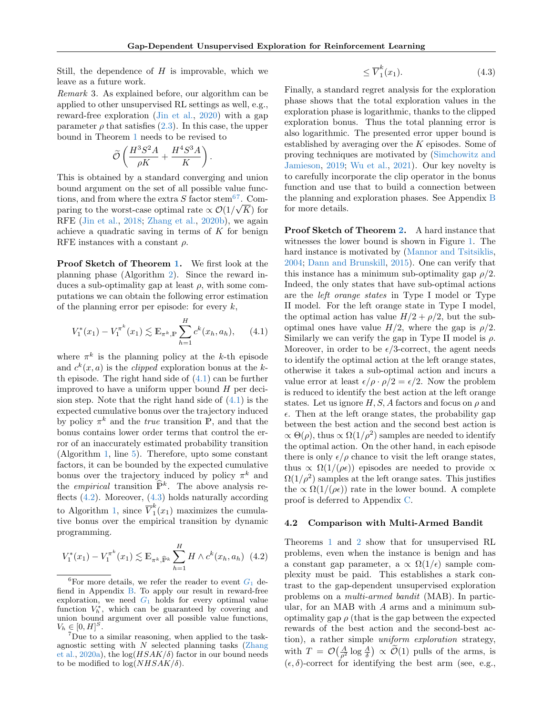Still, the dependence of  $H$  is improvable, which we leave as a future work.

<span id="page-5-0"></span>Remark 3. As explained before, our algorithm can be applied to other unsupervised RL settings as well, e.g., reward-free exploration [\(Jin et al.,](#page-9-4) [2020\)](#page-9-4) with a gap parameter  $\rho$  that satisfies  $(2.3)$ . In this case, the upper bound in Theorem [1](#page-4-3) needs to be revised to

$$
\tilde{\mathcal{O}}\left(\frac{H^3S^2A}{\rho K}+\frac{H^4S^3A}{K}\right).
$$

This is obtained by a standard converging and union bound argument on the set of all possible value functions, and from where the extra  $S$  factor stem<sup>[6](#page-5-1)[7](#page-5-2)</sup>. Comparing to the worst-case optimal rate  $\propto \mathcal{O}(1/\sqrt{K})$  for RFE [\(Jin et al.,](#page-9-17) [2018;](#page-9-17) [Zhang et al.,](#page-10-3) [2020b\)](#page-10-3), we again achieve a quadratic saving in terms of  $K$  for benign RFE instances with a constant  $\rho$ .

Proof Sketch of Theorem [1.](#page-4-3) We first look at the planning phase (Algorithm [2\)](#page-4-0). Since the reward induces a sub-optimality gap at least  $\rho$ , with some computations we can obtain the following error estimation of the planning error per episode: for every  $k$ ,

<span id="page-5-3"></span>
$$
V_1^*(x_1) - V_1^{\pi^k}(x_1) \lesssim \mathbb{E}_{\pi^k, \mathbb{P}} \sum_{h=1}^H c^k(x_h, a_h), \qquad (4.1)
$$

where  $\pi^k$  is the planning policy at the k-th episode and  $c^k(x, a)$  is the *clipped* exploration bonus at the kth episode. The right hand side of  $(4.1)$  can be further improved to have a uniform upper bound  $H$  per decision step. Note that the right hand side of  $(4.1)$  is the expected cumulative bonus over the trajectory induced by policy  $\pi^k$  and the *true* transition P, and that the bonus contains lower order terms that control the error of an inaccurately estimated probability transition (Algorithm [1,](#page-3-0) line [5\)](#page-3-2). Therefore, upto some constant factors, it can be bounded by the expected cumulative bonus over the trajectory induced by policy  $\pi^k$  and the *empirical* transition  $\widehat{P}^k$ . The above analysis reflects  $(4.2)$ . Moreover,  $(4.3)$  holds naturally according to Algorithm [1,](#page-3-0) since  $\overline{V}_1^k$  $\int_{1}^{\infty} (x_1)$  maximizes the cumulative bonus over the empirical transition by dynamic programming.

$$
V_1^*(x_1) - V_1^{\pi^k}(x_1) \lesssim \mathbb{E}_{\pi^k, \widehat{\mathbb{P}}^k} \sum_{h=1}^H H \wedge c^k(x_h, a_h) \tag{4.2}
$$

<span id="page-5-5"></span>
$$
\leq \overline{V}_1^k(x_1). \tag{4.3}
$$

Finally, a standard regret analysis for the exploration phase shows that the total exploration values in the exploration phase is logarithmic, thanks to the clipped exploration bonus. Thus the total planning error is also logarithmic. The presented error upper bound is established by averaging over the  $K$  episodes. Some of proving techniques are motivated by [\(Simchowitz and](#page-9-10) [Jamieson,](#page-9-10) [2019;](#page-9-10) [Wu et al.,](#page-10-4) [2021\)](#page-10-4). Our key novelty is to carefully incorporate the clip operator in the bonus function and use that to build a connection between the planning and exploration phases. See Appendix [B](#page-11-2) for more details.

Proof Sketch of Theorem [2.](#page-4-4) A hard instance that witnesses the lower bound is shown in Figure [1.](#page-6-1) The hard instance is motivated by [\(Mannor and Tsitsiklis,](#page-9-13) [2004;](#page-9-13) [Dann and Brunskill,](#page-8-0) [2015\)](#page-8-0). One can verify that this instance has a minimum sub-optimality gap  $\rho/2$ . Indeed, the only states that have sub-optimal actions are the left orange states in Type I model or Type II model. For the left orange state in Type I model, the optimal action has value  $H/2 + \rho/2$ , but the suboptimal ones have value  $H/2$ , where the gap is  $\rho/2$ . Similarly we can verify the gap in Type II model is  $\rho$ . Moreover, in order to be  $\epsilon/3$ -correct, the agent needs to identify the optimal action at the left orange states, otherwise it takes a sub-optimal action and incurs a value error at least  $\epsilon/\rho \cdot \rho/2 = \epsilon/2$ . Now the problem is reduced to identify the best action at the left orange states. Let us ignore  $H, S, A$  factors and focus on  $\rho$  and  $\epsilon$ . Then at the left orange states, the probability gap between the best action and the second best action is  $\propto \Theta(\rho)$ , thus  $\propto \Omega(1/\rho^2)$  samples are needed to identify the optimal action. On the other hand, in each episode there is only  $\epsilon/\rho$  chance to visit the left orange states, thus  $\propto \Omega(1/(\rho\epsilon))$  episodes are needed to provide  $\propto$  $\Omega(1/\rho^2)$  samples at the left orange sates. This justifies the  $\propto \Omega(1/(\rho\epsilon))$  rate in the lower bound. A complete proof is deferred to Appendix [C.](#page-20-0)

#### 4.2 Comparison with Multi-Armed Bandit

<span id="page-5-4"></span>Theorems [1](#page-4-3) and [2](#page-4-4) show that for unsupervised RL problems, even when the instance is benign and has a constant gap parameter, a  $\propto \Omega(1/\epsilon)$  sample complexity must be paid. This establishes a stark contrast to the gap-dependent unsupervised exploration problems on a multi-armed bandit (MAB). In particular, for an MAB with A arms and a minimum suboptimality gap  $\rho$  (that is the gap between the expected rewards of the best action and the second-best action), a rather simple uniform exploration strategy, with  $T = \mathcal{O}\left(\frac{A}{\rho^2} \log \frac{A}{\delta}\right) \propto \widetilde{\mathcal{O}}(1)$  pulls of the arms, is  $(\epsilon, \delta)$ -correct for identifying the best arm (see, e.g.,

<span id="page-5-1"></span><sup>&</sup>lt;sup>6</sup>For more details, we refer the reader to event  $G_1$  $G_1$  defiend in Appendix [B.](#page-11-2) To apply our result in reward-free exploration, we need  $G_1$  $G_1$  holds for every optimal value function  $V_h^*$ , which can be guaranteed by covering and union bound argument over all possible value functions,  $V_h \in [0, H]^S.$ 

<span id="page-5-2"></span><sup>7</sup>Due to a similar reasoning, when applied to the taskagnostic setting with  $N$  selected planning tasks [\(Zhang](#page-10-2) [et al.,](#page-10-2) [2020a\)](#page-10-2), the  $log(HSAK/\delta)$  factor in our bound needs to be modified to  $\log(NHSAK/\delta)$ .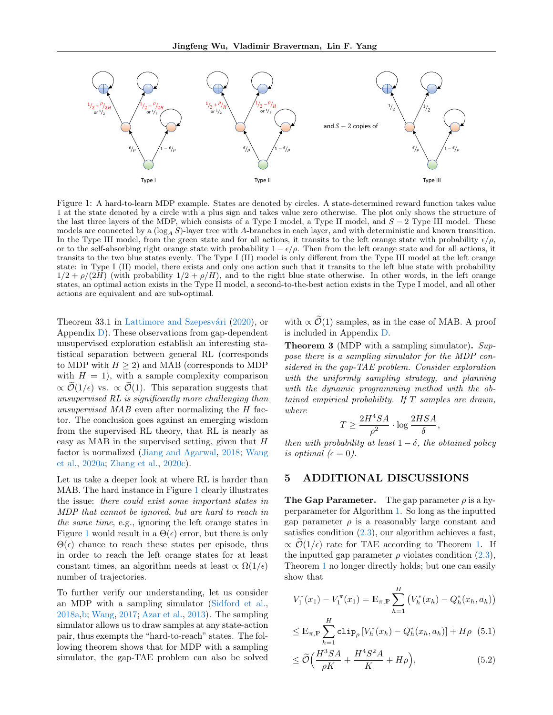

<span id="page-6-1"></span>Figure 1: A hard-to-learn MDP example. States are denoted by circles. A state-determined reward function takes value 1 at the state denoted by a circle with a plus sign and takes value zero otherwise. The plot only shows the structure of the last three layers of the MDP, which consists of a Type I model, a Type II model, and  $S - 2$  Type III model. These models are connected by a  $(\log_A S)$ -layer tree with A-branches in each layer, and with deterministic and known transition. In the Type III model, from the green state and for all actions, it transits to the left orange state with probability  $\epsilon/\rho$ , or to the self-absorbing right orange state with probability  $1 - \epsilon/\rho$ . Then from the left orange state and for all actions, it transits to the two blue states evenly. The Type I (II) model is only different from the Type III model at the left orange state: in Type I (II) model, there exists and only one action such that it transits to the left blue state with probability  $1/2 + \rho/(2H)$  (with probability  $1/2 + \rho/H$ ), and to the right blue state otherwise. In other words, in the left orange states, an optimal action exists in the Type II model, a second-to-the-best action exists in the Type I model, and all other actions are equivalent and are sub-optimal.

Theorem 33.1 in Lattimore and Szepesvári [\(2020\)](#page-9-14), or Appendix [D\)](#page-21-0). These observations from gap-dependent unsupervised exploration establish an interesting statistical separation between general RL (corresponds to MDP with  $H \geq 2$ ) and MAB (corresponds to MDP with  $H = 1$ , with a sample complexity comparison  $\propto \widetilde{\mathcal{O}}(1/\epsilon)$  vs.  $\propto \widetilde{\mathcal{O}}(1)$ . This separation suggests that unsupervised RL is significantly more challenging than unsupervised MAB even after normalizing the H factor. The conclusion goes against an emerging wisdom from the supervised RL theory, that RL is nearly as easy as MAB in the supervised setting, given that  $H$ factor is normalized [\(Jiang and Agarwal,](#page-9-15) [2018;](#page-9-15) [Wang](#page-9-16) [et al.,](#page-9-16) [2020a;](#page-9-16) [Zhang et al.,](#page-10-8) [2020c\)](#page-10-8).

Let us take a deeper look at where RL is harder than MAB. The hard instance in Figure [1](#page-6-1) clearly illustrates the issue: there could exist some important states in MDP that cannot be ignored, but are hard to reach in the same time, e.g., ignoring the left orange states in Figure [1](#page-6-1) would result in a  $\Theta(\epsilon)$  error, but there is only  $\Theta(\epsilon)$  chance to reach these states per episode, thus in order to reach the left orange states for at least constant times, an algorithm needs at least  $\propto \Omega(1/\epsilon)$ number of trajectories.

To further verify our understanding, let us consider an MDP with a sampling simulator [\(Sidford et al.,](#page-9-18) [2018a,](#page-9-18)[b;](#page-9-19) [Wang,](#page-9-20) [2017;](#page-9-20) [Azar et al.,](#page-8-2) [2013\)](#page-8-2). The sampling simulator allows us to draw samples at any state-action pair, thus exempts the "hard-to-reach" states. The following theorem shows that for MDP with a sampling simulator, the gap-TAE problem can also be solved with  $\propto \mathcal{O}(1)$  samples, as in the case of MAB. A proof is included in Appendix [D.](#page-21-0)

<span id="page-6-4"></span>Theorem 3 (MDP with a sampling simulator). Suppose there is a sampling simulator for the MDP considered in the gap-TAE problem. Consider exploration with the uniformly sampling strategy, and planning with the dynamic programming method with the obtained empirical probability. If T samples are drawn, where

$$
T \ge \frac{2H^4SA}{\rho^2} \cdot \log \frac{2HSA}{\delta},
$$

then with probability at least  $1 - \delta$ , the obtained policy is optimal  $(\epsilon = 0)$ .

# <span id="page-6-0"></span>5 ADDITIONAL DISCUSSIONS

**The Gap Parameter.** The gap parameter  $\rho$  is a hyperparameter for Algorithm [1.](#page-3-0) So long as the inputted gap parameter  $\rho$  is a reasonably large constant and satisfies condition  $(2.3)$ , our algorithm achieves a fast,  $\propto \mathcal{O}(1/\epsilon)$  rate for TAE according to Theorem [1.](#page-4-3) If the inputted gap parameter  $\rho$  violates condition [\(2.3\)](#page-3-3), Theorem [1](#page-4-3) no longer directly holds; but one can easily show that

$$
V_1^*(x_1) - V_1^{\pi}(x_1) = \mathbb{E}_{\pi, \mathbb{P}} \sum_{h=1}^H \left( V_h^*(x_h) - Q_h^*(x_h, a_h) \right)
$$

<span id="page-6-2"></span>
$$
\leq \mathbb{E}_{\pi,\mathbb{P}} \sum_{h=1}^{H} \text{clip}_{\rho} \left[ V_h^*(x_h) - Q_h^*(x_h, a_h) \right] + H\rho \tag{5.1}
$$

<span id="page-6-3"></span>
$$
\leq \widetilde{\mathcal{O}}\Big(\frac{H^3SA}{\rho K} + \frac{H^4S^2A}{K} + H\rho\Big),\tag{5.2}
$$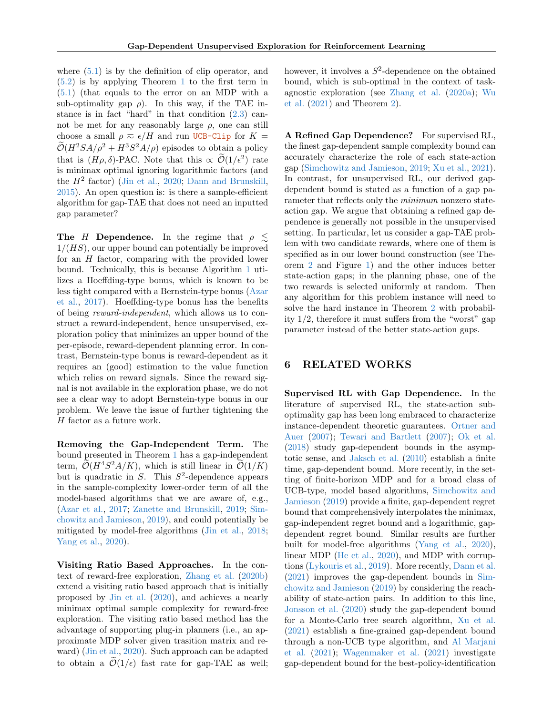where  $(5.1)$  is by the definition of clip operator, and [\(5.2\)](#page-6-3) is by applying Theorem [1](#page-4-3) to the first term in [\(5.1\)](#page-6-2) (that equals to the error on an MDP with a sub-optimality gap  $\rho$ ). In this way, if the TAE instance is in fact "hard" in that condition  $(2.3)$  cannot be met for any reasonably large  $\rho$ , one can still choose a small  $\rho \approx \epsilon / H$  and run UCB-Clip for  $K =$  $\mathcal{O}(H^2SA/\rho^2 + H^3S^2A/\rho)$  episodes to obtain a policy that is  $(H\rho, \delta)$ -PAC. Note that this  $\propto \widetilde{\mathcal{O}}(1/\epsilon^2)$  rate is minimax optimal ignoring logarithmic factors (and the  $H^2$  factor) [\(Jin et al.,](#page-9-4) [2020;](#page-9-4) [Dann and Brunskill,](#page-8-0) [2015\)](#page-8-0). An open question is: is there a sample-efficient algorithm for gap-TAE that does not need an inputted gap parameter?

The H Dependence. In the regime that  $\rho \lesssim$  $1/(HS)$ , our upper bound can potentially be improved for an H factor, comparing with the provided lower bound. Technically, this is because Algorithm [1](#page-3-0) utilizes a Hoeffding-type bonus, which is known to be less tight compared with a Bernstein-type bonus [\(Azar](#page-8-1) [et al.,](#page-8-1) [2017\)](#page-8-1). Hoeffding-type bonus has the benefits of being reward-independent, which allows us to construct a reward-independent, hence unsupervised, exploration policy that minimizes an upper bound of the per-episode, reward-dependent planning error. In contrast, Bernstein-type bonus is reward-dependent as it requires an (good) estimation to the value function which relies on reward signals. Since the reward signal is not available in the exploration phase, we do not see a clear way to adopt Bernstein-type bonus in our problem. We leave the issue of further tightening the  $H$  factor as a future work.

Removing the Gap-Independent Term. The bound presented in Theorem [1](#page-4-3) has a gap-independent term,  $\mathcal{O}(H^4S^2A/K)$ , which is still linear in  $\mathcal{O}(1/K)$ but is quadratic in  $S$ . This  $S^2$ -dependence appears in the sample-complexity lower-order term of all the model-based algorithms that we are aware of, e.g., [\(Azar et al.,](#page-8-1) [2017;](#page-8-1) [Zanette and Brunskill,](#page-10-9) [2019;](#page-10-9) [Sim](#page-9-10)[chowitz and Jamieson,](#page-9-10) [2019\)](#page-9-10), and could potentially be mitigated by model-free algorithms [\(Jin et al.,](#page-9-17) [2018;](#page-9-17) [Yang et al.,](#page-10-6) [2020\)](#page-10-6).

Visiting Ratio Based Approaches. In the context of reward-free exploration, [Zhang et al.](#page-10-3) [\(2020b\)](#page-10-3) extend a visiting ratio based approach that is initially proposed by [Jin et al.](#page-9-4) [\(2020\)](#page-9-4), and achieves a nearly minimax optimal sample complexity for reward-free exploration. The visiting ratio based method has the advantage of supporting plug-in planners (i.e., an approximate MDP solver given trasition matrix and reward) [\(Jin et al.,](#page-9-4) [2020\)](#page-9-4). Such approach can be adapted to obtain a  $\mathcal{O}(1/\epsilon)$  fast rate for gap-TAE as well;

however, it involves a  $S^2$ -dependence on the obtained bound, which is sub-optimal in the context of taskagnostic exploration (see [Zhang et al.](#page-10-2) [\(2020a\)](#page-10-2); [Wu](#page-10-4) [et al.](#page-10-4) [\(2021\)](#page-10-4) and Theorem [2\)](#page-4-4).

A Refined Gap Dependence? For supervised RL, the finest gap-dependent sample complexity bound can accurately characterize the role of each state-action gap [\(Simchowitz and Jamieson,](#page-9-10) [2019;](#page-9-10) [Xu et al.,](#page-10-7) [2021\)](#page-10-7). In contrast, for unsupervised RL, our derived gapdependent bound is stated as a function of a gap parameter that reflects only the minimum nonzero stateaction gap. We argue that obtaining a refined gap dependence is generally not possible in the unsupervised setting. In particular, let us consider a gap-TAE problem with two candidate rewards, where one of them is specified as in our lower bound construction (see Theorem [2](#page-4-4) and Figure [1\)](#page-6-1) and the other induces better state-action gaps; in the planning phase, one of the two rewards is selected uniformly at random. Then any algorithm for this problem instance will need to solve the hard instance in Theorem [2](#page-4-4) with probability 1/2, therefore it must suffers from the "worst" gap parameter instead of the better state-action gaps.

# 6 RELATED WORKS

Supervised RL with Gap Dependence. In the literature of supervised RL, the state-action suboptimality gap has been long embraced to characterize instance-dependent theoretic guarantees. [Ortner and](#page-9-8) [Auer](#page-9-8) [\(2007\)](#page-9-8); [Tewari and Bartlett](#page-9-7) [\(2007\)](#page-9-7); [Ok et al.](#page-9-9) [\(2018\)](#page-9-9) study gap-dependent bounds in the asymptotic sense, and [Jaksch et al.](#page-9-11) [\(2010\)](#page-9-11) establish a finite time, gap-dependent bound. More recently, in the setting of finite-horizon MDP and for a broad class of UCB-type, model based algorithms, [Simchowitz and](#page-9-10) [Jamieson](#page-9-10) [\(2019\)](#page-9-10) provide a finite, gap-dependent regret bound that comprehensively interpolates the minimax, gap-independent regret bound and a logarithmic, gapdependent regret bound. Similar results are further built for model-free algorithms [\(Yang et al.,](#page-10-6) [2020\)](#page-10-6), linear MDP [\(He et al.,](#page-9-12) [2020\)](#page-9-12), and MDP with corruptions [\(Lykouris et al.,](#page-9-21) [2019\)](#page-9-21). More recently, [Dann et al.](#page-8-3) [\(2021\)](#page-8-3) improves the gap-dependent bounds in [Sim](#page-9-10)[chowitz and Jamieson](#page-9-10) [\(2019\)](#page-9-10) by considering the reachability of state-action pairs. In addition to this line, [Jonsson et al.](#page-9-22) [\(2020\)](#page-9-22) study the gap-dependent bound for a Monte-Carlo tree search algorithm, [Xu et al.](#page-10-7) [\(2021\)](#page-10-7) establish a fine-grained gap-dependent bound through a non-UCB type algorithm, and [Al Marjani](#page-8-4) [et al.](#page-8-4) [\(2021\)](#page-8-4); [Wagenmaker et al.](#page-9-23) [\(2021\)](#page-9-23) investigate gap-dependent bound for the best-policy-identification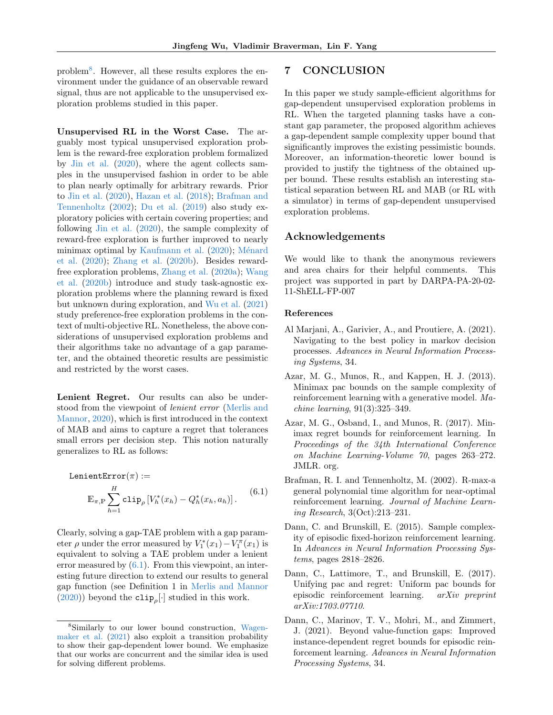problem[8](#page-8-5) . However, all these results explores the environment under the guidance of an observable reward signal, thus are not applicable to the unsupervised exploration problems studied in this paper.

Unsupervised RL in the Worst Case. The arguably most typical unsupervised exploration problem is the reward-free exploration problem formalized by [Jin et al.](#page-9-4) [\(2020\)](#page-9-4), where the agent collects samples in the unsupervised fashion in order to be able to plan nearly optimally for arbitrary rewards. Prior to [Jin et al.](#page-9-4) [\(2020\)](#page-9-4), [Hazan et al.](#page-9-3) [\(2018\)](#page-9-3); [Brafman and](#page-8-6) [Tennenholtz](#page-8-6) [\(2002\)](#page-8-6); [Du et al.](#page-9-24) [\(2019\)](#page-9-24) also study exploratory policies with certain covering properties; and following [Jin et al.](#page-9-4) [\(2020\)](#page-9-4), the sample complexity of reward-free exploration is further improved to nearly minimax optimal by [Kaufmann et al.](#page-9-5)  $(2020)$ ; Ménard [et al.](#page-9-6) [\(2020\)](#page-9-6); [Zhang et al.](#page-10-3) [\(2020b\)](#page-10-3). Besides rewardfree exploration problems, [Zhang et al.](#page-10-2) [\(2020a\)](#page-10-2); [Wang](#page-10-5) [et al.](#page-10-5) [\(2020b\)](#page-10-5) introduce and study task-agnostic exploration problems where the planning reward is fixed but unknown during exploration, and [Wu et al.](#page-10-4) [\(2021\)](#page-10-4) study preference-free exploration problems in the context of multi-objective RL. Nonetheless, the above considerations of unsupervised exploration problems and their algorithms take no advantage of a gap parameter, and the obtained theoretic results are pessimistic and restricted by the worst cases.

Lenient Regret. Our results can also be understood from the viewpoint of lenient error [\(Merlis and](#page-9-25) [Mannor,](#page-9-25) [2020\)](#page-9-25), which is first introduced in the context of MAB and aims to capture a regret that tolerances small errors per decision step. This notion naturally generalizes to RL as follows:

<span id="page-8-7"></span>LenientError
$$
(\pi) :=
$$
  
\n
$$
\mathbb{E}_{\pi,\mathbb{P}} \sum_{h=1}^{H} \text{clip}_{\rho} \left[ V_h^*(x_h) - Q_h^*(x_h, a_h) \right]. \tag{6.1}
$$

Clearly, solving a gap-TAE problem with a gap parameter  $\rho$  under the error measured by  $V_1^*(x_1) - V_1^{\pi}(x_1)$  is equivalent to solving a TAE problem under a lenient error measured by [\(6.1\)](#page-8-7). From this viewpoint, an interesting future direction to extend our results to general gap function (see Definition 1 in [Merlis and Mannor](#page-9-25)  $(2020)$ ) beyond the **clip**<sub> $\rho$ </sub>[·] studied in this work.

# 7 CONCLUSION

In this paper we study sample-efficient algorithms for gap-dependent unsupervised exploration problems in RL. When the targeted planning tasks have a constant gap parameter, the proposed algorithm achieves a gap-dependent sample complexity upper bound that significantly improves the existing pessimistic bounds. Moreover, an information-theoretic lower bound is provided to justify the tightness of the obtained upper bound. These results establish an interesting statistical separation between RL and MAB (or RL with a simulator) in terms of gap-dependent unsupervised exploration problems.

## Acknowledgements

We would like to thank the anonymous reviewers and area chairs for their helpful comments. This project was supported in part by DARPA-PA-20-02- 11-ShELL-FP-007

#### References

- <span id="page-8-4"></span>Al Marjani, A., Garivier, A., and Proutiere, A. (2021). Navigating to the best policy in markov decision processes. Advances in Neural Information Processing Systems, 34.
- <span id="page-8-2"></span>Azar, M. G., Munos, R., and Kappen, H. J. (2013). Minimax pac bounds on the sample complexity of reinforcement learning with a generative model. Machine learning, 91(3):325–349.
- <span id="page-8-1"></span>Azar, M. G., Osband, I., and Munos, R. (2017). Minimax regret bounds for reinforcement learning. In Proceedings of the 34th International Conference on Machine Learning-Volume 70, pages 263–272. JMLR. org.
- <span id="page-8-6"></span>Brafman, R. I. and Tennenholtz, M. (2002). R-max-a general polynomial time algorithm for near-optimal reinforcement learning. Journal of Machine Learning Research, 3(Oct):213–231.
- <span id="page-8-0"></span>Dann, C. and Brunskill, E. (2015). Sample complexity of episodic fixed-horizon reinforcement learning. In Advances in Neural Information Processing Systems, pages 2818–2826.
- <span id="page-8-8"></span>Dann, C., Lattimore, T., and Brunskill, E. (2017). Unifying pac and regret: Uniform pac bounds for episodic reinforcement learning. arXiv preprint arXiv:1703.07710.
- <span id="page-8-3"></span>Dann, C., Marinov, T. V., Mohri, M., and Zimmert, J. (2021). Beyond value-function gaps: Improved instance-dependent regret bounds for episodic reinforcement learning. Advances in Neural Information Processing Systems, 34.

<span id="page-8-5"></span><sup>8</sup>Similarly to our lower bound construction, [Wagen](#page-9-23)[maker et al.](#page-9-23) [\(2021\)](#page-9-23) also exploit a transition probability to show their gap-dependent lower bound. We emphasize that our works are concurrent and the similar idea is used for solving different problems.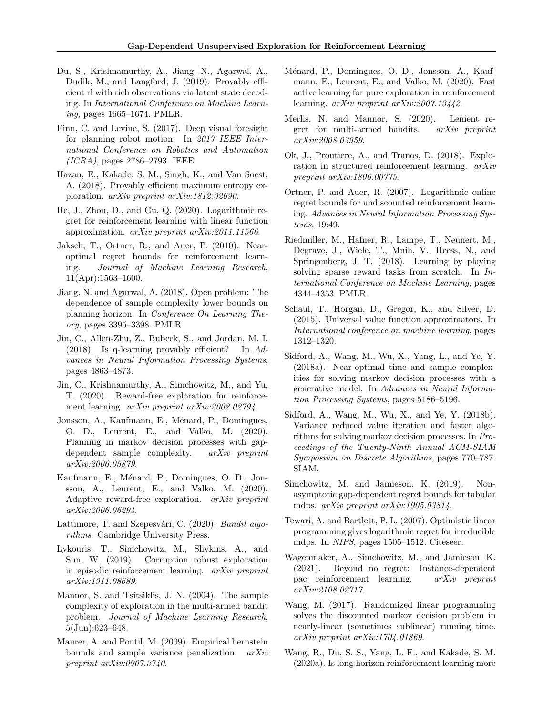- <span id="page-9-24"></span>Du, S., Krishnamurthy, A., Jiang, N., Agarwal, A., Dudik, M., and Langford, J. (2019). Provably efficient rl with rich observations via latent state decoding. In International Conference on Machine Learning, pages 1665–1674. PMLR.
- <span id="page-9-1"></span>Finn, C. and Levine, S. (2017). Deep visual foresight for planning robot motion. In 2017 IEEE International Conference on Robotics and Automation (ICRA), pages 2786–2793. IEEE.
- <span id="page-9-3"></span>Hazan, E., Kakade, S. M., Singh, K., and Van Soest, A. (2018). Provably efficient maximum entropy exploration. arXiv preprint arXiv:1812.02690.
- <span id="page-9-12"></span>He, J., Zhou, D., and Gu, Q. (2020). Logarithmic regret for reinforcement learning with linear function approximation. arXiv preprint arXiv:2011.11566.
- <span id="page-9-11"></span>Jaksch, T., Ortner, R., and Auer, P. (2010). Nearoptimal regret bounds for reinforcement learning. Journal of Machine Learning Research, 11(Apr):1563–1600.
- <span id="page-9-15"></span>Jiang, N. and Agarwal, A. (2018). Open problem: The dependence of sample complexity lower bounds on planning horizon. In Conference On Learning Theory, pages 3395–3398. PMLR.
- <span id="page-9-17"></span>Jin, C., Allen-Zhu, Z., Bubeck, S., and Jordan, M. I. (2018). Is q-learning provably efficient? In Advances in Neural Information Processing Systems, pages 4863–4873.
- <span id="page-9-4"></span>Jin, C., Krishnamurthy, A., Simchowitz, M., and Yu, T. (2020). Reward-free exploration for reinforcement learning. arXiv preprint arXiv:2002.02794.
- <span id="page-9-22"></span>Jonsson, A., Kaufmann, E., Ménard, P., Domingues, O. D., Leurent, E., and Valko, M. (2020). Planning in markov decision processes with gapdependent sample complexity. arXiv preprint arXiv:2006.05879.
- <span id="page-9-5"></span>Kaufmann, E., Ménard, P., Domingues, O. D., Jonsson, A., Leurent, E., and Valko, M. (2020). Adaptive reward-free exploration. arXiv preprint arXiv:2006.06294.
- <span id="page-9-14"></span>Lattimore, T. and Szepesvári, C. (2020). Bandit algorithms. Cambridge University Press.
- <span id="page-9-21"></span>Lykouris, T., Simchowitz, M., Slivkins, A., and Sun, W. (2019). Corruption robust exploration in episodic reinforcement learning. arXiv preprint arXiv:1911.08689.
- <span id="page-9-13"></span>Mannor, S. and Tsitsiklis, J. N. (2004). The sample complexity of exploration in the multi-armed bandit problem. Journal of Machine Learning Research, 5(Jun):623–648.
- <span id="page-9-26"></span>Maurer, A. and Pontil, M. (2009). Empirical bernstein bounds and sample variance penalization. arXiv preprint arXiv:0907.3740.
- <span id="page-9-6"></span>Ménard, P., Domingues, O. D., Jonsson, A., Kaufmann, E., Leurent, E., and Valko, M. (2020). Fast active learning for pure exploration in reinforcement learning. arXiv preprint arXiv:2007.13442.
- <span id="page-9-25"></span>Merlis, N. and Mannor, S. (2020). Lenient regret for multi-armed bandits. arXiv preprint arXiv:2008.03959.
- <span id="page-9-9"></span>Ok, J., Proutiere, A., and Tranos, D. (2018). Exploration in structured reinforcement learning. arXiv preprint arXiv:1806.00775.
- <span id="page-9-8"></span>Ortner, P. and Auer, R. (2007). Logarithmic online regret bounds for undiscounted reinforcement learning. Advances in Neural Information Processing Systems, 19:49.
- <span id="page-9-0"></span>Riedmiller, M., Hafner, R., Lampe, T., Neunert, M., Degrave, J., Wiele, T., Mnih, V., Heess, N., and Springenberg, J. T. (2018). Learning by playing solving sparse reward tasks from scratch. In International Conference on Machine Learning, pages 4344–4353. PMLR.
- <span id="page-9-2"></span>Schaul, T., Horgan, D., Gregor, K., and Silver, D. (2015). Universal value function approximators. In International conference on machine learning, pages 1312–1320.
- <span id="page-9-18"></span>Sidford, A., Wang, M., Wu, X., Yang, L., and Ye, Y. (2018a). Near-optimal time and sample complexities for solving markov decision processes with a generative model. In Advances in Neural Information Processing Systems, pages 5186–5196.
- <span id="page-9-19"></span>Sidford, A., Wang, M., Wu, X., and Ye, Y. (2018b). Variance reduced value iteration and faster algorithms for solving markov decision processes. In Proceedings of the Twenty-Ninth Annual ACM-SIAM Symposium on Discrete Algorithms, pages 770–787. SIAM.
- <span id="page-9-10"></span>Simchowitz, M. and Jamieson, K. (2019). Nonasymptotic gap-dependent regret bounds for tabular mdps. arXiv preprint arXiv:1905.03814.
- <span id="page-9-7"></span>Tewari, A. and Bartlett, P. L. (2007). Optimistic linear programming gives logarithmic regret for irreducible mdps. In NIPS, pages 1505–1512. Citeseer.
- <span id="page-9-23"></span>Wagenmaker, A., Simchowitz, M., and Jamieson, K. (2021). Beyond no regret: Instance-dependent pac reinforcement learning. arXiv preprint arXiv:2108.02717.
- <span id="page-9-20"></span>Wang, M. (2017). Randomized linear programming solves the discounted markov decision problem in nearly-linear (sometimes sublinear) running time. arXiv preprint arXiv:1704.01869.
- <span id="page-9-16"></span>Wang, R., Du, S. S., Yang, L. F., and Kakade, S. M. (2020a). Is long horizon reinforcement learning more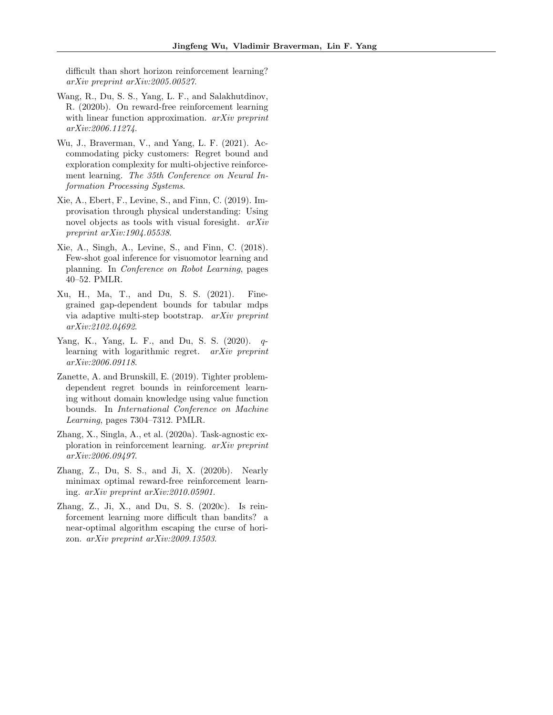difficult than short horizon reinforcement learning? arXiv preprint arXiv:2005.00527.

- <span id="page-10-5"></span>Wang, R., Du, S. S., Yang, L. F., and Salakhutdinov, R. (2020b). On reward-free reinforcement learning with linear function approximation. *arXiv preprint* arXiv:2006.11274.
- <span id="page-10-4"></span>Wu, J., Braverman, V., and Yang, L. F. (2021). Accommodating picky customers: Regret bound and exploration complexity for multi-objective reinforcement learning. The 35th Conference on Neural Information Processing Systems.
- <span id="page-10-1"></span>Xie, A., Ebert, F., Levine, S., and Finn, C. (2019). Improvisation through physical understanding: Using novel objects as tools with visual foresight. arXiv preprint arXiv:1904.05538.
- <span id="page-10-0"></span>Xie, A., Singh, A., Levine, S., and Finn, C. (2018). Few-shot goal inference for visuomotor learning and planning. In Conference on Robot Learning, pages 40–52. PMLR.
- <span id="page-10-7"></span>Xu, H., Ma, T., and Du, S. S. (2021). Finegrained gap-dependent bounds for tabular mdps via adaptive multi-step bootstrap. arXiv preprint arXiv:2102.04692.
- <span id="page-10-6"></span>Yang, K., Yang, L. F., and Du, S. S. (2020). qlearning with logarithmic regret. arXiv preprint arXiv:2006.09118.
- <span id="page-10-9"></span>Zanette, A. and Brunskill, E. (2019). Tighter problemdependent regret bounds in reinforcement learning without domain knowledge using value function bounds. In International Conference on Machine Learning, pages 7304–7312. PMLR.
- <span id="page-10-2"></span>Zhang, X., Singla, A., et al. (2020a). Task-agnostic exploration in reinforcement learning. arXiv preprint arXiv:2006.09497.
- <span id="page-10-3"></span>Zhang, Z., Du, S. S., and Ji, X. (2020b). Nearly minimax optimal reward-free reinforcement learning. arXiv preprint arXiv:2010.05901.
- <span id="page-10-8"></span>Zhang, Z., Ji, X., and Du, S. S. (2020c). Is reinforcement learning more difficult than bandits? a near-optimal algorithm escaping the curse of horizon. arXiv preprint arXiv:2009.13503.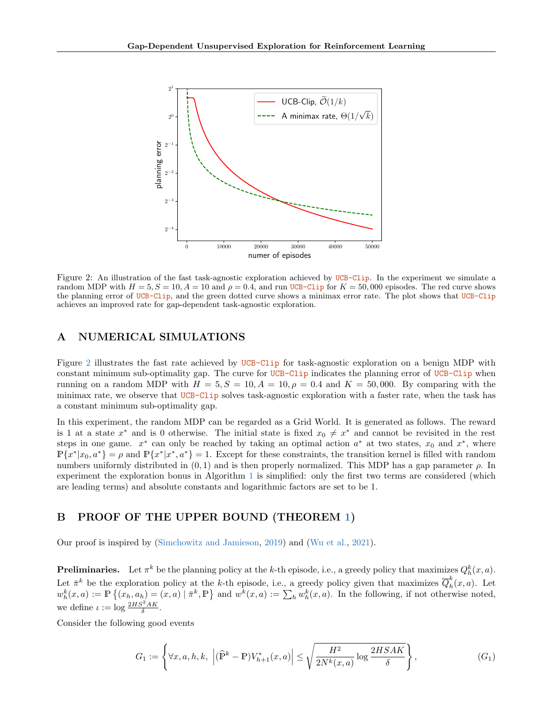

<span id="page-11-3"></span>Figure 2: An illustration of the fast task-agnostic exploration achieved by UCB-Clip. In the experiment we simulate a random MDP with  $H = 5, S = 10, A = 10$  and  $\rho = 0.4$ , and run UCB-Clip for  $K = 50,000$  episodes. The red curve shows the planning error of UCB-Clip, and the green dotted curve shows a minimax error rate. The plot shows that UCB-Clip achieves an improved rate for gap-dependent task-agnostic exploration.

# <span id="page-11-0"></span>A NUMERICAL SIMULATIONS

Figure [2](#page-11-3) illustrates the fast rate achieved by UCB-Clip for task-agnostic exploration on a benign MDP with constant minimum sub-optimality gap. The curve for UCB-Clip indicates the planning error of UCB-Clip when running on a random MDP with  $H = 5, S = 10, A = 10, \rho = 0.4$  and  $K = 50,000$ . By comparing with the minimax rate, we observe that UCB-Clip solves task-agnostic exploration with a faster rate, when the task has a constant minimum sub-optimality gap.

In this experiment, the random MDP can be regarded as a Grid World. It is generated as follows. The reward is 1 at a state  $x^*$  and is 0 otherwise. The initial state is fixed  $x_0 \neq x^*$  and cannot be revisited in the rest steps in one game.  $x^*$  can only be reached by taking an optimal action  $a^*$  at two states,  $x_0$  and  $x^*$ , where  $\mathbb{P}\{x^*|x_0, a^*\} = \rho$  and  $\mathbb{P}\{x^*|x^*, a^*\} = 1$ . Except for these constraints, the transition kernel is filled with random numbers uniformly distributed in  $(0, 1)$  and is then properly normalized. This MDP has a gap parameter  $\rho$ . In experiment the exploration bonus in Algorithm [1](#page-3-0) is simplified: only the first two terms are considered (which are leading terms) and absolute constants and logarithmic factors are set to be 1.

# <span id="page-11-2"></span>B PROOF OF THE UPPER BOUND (THEOREM [1\)](#page-4-3)

Our proof is inspired by [\(Simchowitz and Jamieson,](#page-9-10) [2019\)](#page-9-10) and [\(Wu et al.,](#page-10-4) [2021\)](#page-10-4).

**Preliminaries.** Let  $\pi^k$  be the planning policy at the k-th episode, i.e., a greedy policy that maximizes  $Q_h^k(x, a)$ . Let  $\bar{\pi}^k$  be the exploration policy at the k-th episode, i.e., a greedy policy given that maximizes  $\bar{Q}_h^k$  $\int_h^n(x,a)$ . Let  $w_h^k(x, a) := \mathbb{P}\left\{(x_h, a_h) = (x, a) \mid \bar{\pi}^k, \mathbb{P}\right\}$  and  $w^k(x, a) := \sum_h w_h^k(x, a)$ . In the following, if not otherwise noted, we define  $\iota := \log \frac{2HS^2AK}{\delta}$ .

Consider the following good events

<span id="page-11-1"></span>
$$
G_1 := \left\{ \forall x, a, h, k, \, \left| (\widehat{\mathbb{P}}^k - \mathbb{P}) V_{h+1}^*(x, a) \right| \le \sqrt{\frac{H^2}{2N^k(x, a)} \log \frac{2HSAK}{\delta}} \right\},\tag{G_1}
$$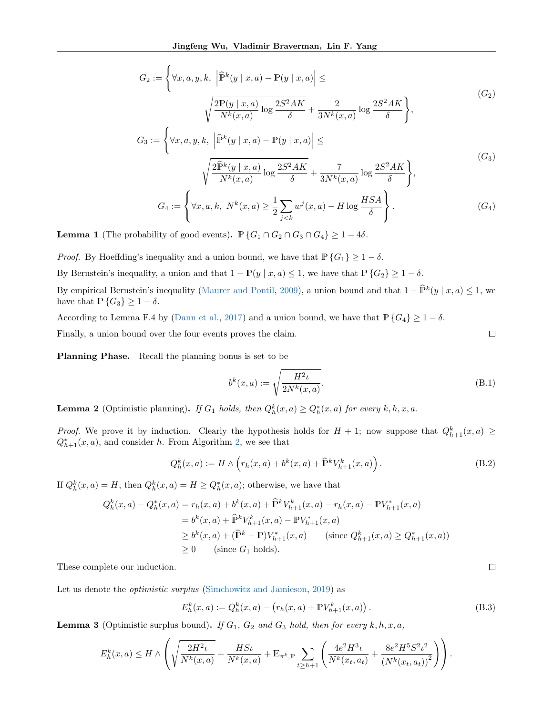$$
G_2 := \left\{ \forall x, a, y, k, \left| \hat{\mathbb{P}}^k(y \mid x, a) - \mathbb{P}(y \mid x, a) \right| \leq \right\}
$$

$$
\sqrt{\frac{2\mathbb{P}(y \mid x, a)}{N^k(x, a)} \log \frac{2S^2AK}{\delta}} + \frac{2}{3N^k(x, a)} \log \frac{2S^2AK}{\delta} \right\},
$$

$$
G_3 := \left\{ \forall x, a, y, k, \left| \hat{\mathbb{P}}^k(y \mid x, a) - \mathbb{P}(y \mid x, a) \right| \leq \right\}
$$

$$
\sqrt{\frac{2\hat{\mathbb{P}}^k(y \mid x, a)}{N^k(x, a)} \log \frac{2S^2AK}{\delta}} + \frac{7}{3N^k(x, a)} \log \frac{2S^2AK}{\delta} \right\},
$$

$$
G_4 := \left\{ \forall x, a, k, \ N^k(x, a) \geq \frac{1}{2} \sum_{j < k} w^j(x, a) - H \log \frac{HSA}{\delta} \right\}.
$$

$$
(G_4)
$$

<span id="page-12-6"></span>**Lemma 1** (The probability of good events).  $\mathbb{P}\{G_1 \cap G_2 \cap G_3 \cap G_4\} \geq 1-4\delta$ .

*Proof.* By Hoeffding's inequality and a union bound, we have that  $\mathbb{P}\{G_1\} \geq 1 - \delta$ .

By Bernstein's inequality, a union and that  $1 - \mathbb{P}(y \mid x, a) \leq 1$ , we have that  $\mathbb{P}\{G_2\} \geq 1 - \delta$ .

By empirical Bernstein's inequality [\(Maurer and Pontil,](#page-9-26) [2009\)](#page-9-26), a union bound and that  $1 - \widehat{P}^k(y | x, a) \le 1$ , we have that  $\mathbb{P}\left\{G_3\right\} \geq 1 - \delta$ .

According to Lemma F.4 by [\(Dann et al.,](#page-8-8) [2017\)](#page-8-8) and a union bound, we have that  $\mathbb{P}\{G_4\} \geq 1 - \delta$ .

Finally, a union bound over the four events proves the claim.

Planning Phase. Recall the planning bonus is set to be

<span id="page-12-2"></span>
$$
b^{k}(x,a) := \sqrt{\frac{H^{2} \iota}{2N^{k}(x,a)}}.
$$
\n(B.1)

<span id="page-12-5"></span> $\Box$ 

 $\Box$ 

<span id="page-12-3"></span>**Lemma 2** (Optimistic planning). If  $G_1$  holds, then  $Q_h^k(x, a) \geq Q_h^*(x, a)$  for every  $k, h, x, a$ .

*Proof.* We prove it by induction. Clearly the hypothesis holds for  $H + 1$ ; now suppose that  $Q_{h+1}^k(x, a) \ge$  $Q_{h+1}^*(x, a)$ , and consider h. From Algorithm [2,](#page-4-0) we see that

<span id="page-12-1"></span>
$$
Q_h^k(x, a) := H \wedge \left( r_h(x, a) + b^k(x, a) + \widehat{\mathbb{P}}^k V_{h+1}^k(x, a) \right). \tag{B.2}
$$

If  $Q_h^k(x, a) = H$ , then  $Q_h^k(x, a) = H \geq Q_h^*(x, a)$ ; otherwise, we have that

$$
Q_h^k(x, a) - Q_h^*(x, a) = r_h(x, a) + b^k(x, a) + \hat{\mathbb{P}}^k V_{h+1}^k(x, a) - r_h(x, a) - \mathbb{P}V_{h+1}^*(x, a)
$$
  
=  $b^k(x, a) + \hat{\mathbb{P}}^k V_{h+1}^k(x, a) - \mathbb{P}V_{h+1}^*(x, a)$   
 $\ge b^k(x, a) + (\hat{\mathbb{P}}^k - \mathbb{P})V_{h+1}^*(x, a)$  (since  $Q_{h+1}^k(x, a) \ge Q_{h+1}^*(x, a)$ )  
 $\ge 0$  (since  $G_1$  holds).

These complete our induction.

Let us denote the *optimistic surplus* [\(Simchowitz and Jamieson,](#page-9-10) [2019\)](#page-9-10) as

<span id="page-12-0"></span>
$$
E_h^k(x, a) := Q_h^k(x, a) - (r_h(x, a) + \mathbb{P} V_{h+1}^k(x, a)).
$$
\n(B.3)

<span id="page-12-4"></span>**Lemma 3** (Optimistic surplus bound). If  $G_1$ ,  $G_2$  and  $G_3$  hold, then for every  $k, h, x, a$ ,

$$
E_h^k(x, a) \le H \wedge \left( \sqrt{\frac{2H^2\iota}{N^k(x, a)}} + \frac{HS\iota}{N^k(x, a)} + \mathbb{E}_{\pi^k, \mathbb{P}} \sum_{t \ge h+1} \left( \frac{4e^2H^3\iota}{N^k(x_t, a_t)} + \frac{8e^2H^5S^2\iota^2}{\left(N^k(x_t, a_t)\right)^2} \right) \right).
$$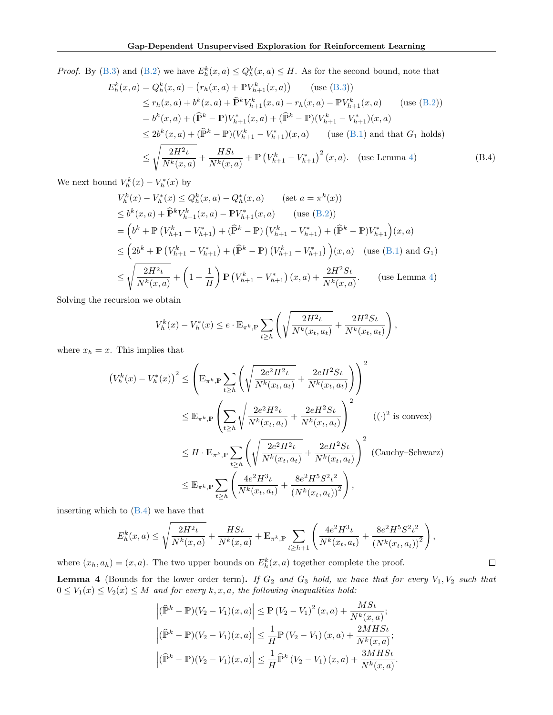*Proof.* By [\(B.3\)](#page-12-0) and [\(B.2\)](#page-12-1) we have  $E_h^k(x, a) \leq Q_h^k(x, a) \leq H$ . As for the second bound, note that

$$
E_h^k(x, a) = Q_h^k(x, a) - (r_h(x, a) + \mathbb{P}V_{h+1}^k(x, a)) \quad \text{(use (B.3))}
$$
  
\n
$$
\le r_h(x, a) + b^k(x, a) + \hat{\mathbb{P}}^k V_{h+1}^k(x, a) - r_h(x, a) - \mathbb{P}V_{h+1}^k(x, a) \quad \text{(use (B.2))}
$$
  
\n
$$
= b^k(x, a) + (\hat{\mathbb{P}}^k - \mathbb{P})V_{h+1}^*(x, a) + (\hat{\mathbb{P}}^k - \mathbb{P})(V_{h+1}^k - V_{h+1}^*)(x, a)
$$
  
\n
$$
\le 2b^k(x, a) + (\hat{\mathbb{P}}^k - \mathbb{P})(V_{h+1}^k - V_{h+1}^*)(x, a) \quad \text{(use (B.1) and that } G_1 \text{ holds)}
$$
  
\n
$$
\le \sqrt{\frac{2H^2\iota}{N^k(x, a)}} + \frac{HS\iota}{N^k(x, a)} + \mathbb{P}(V_{h+1}^k - V_{h+1}^*)^2(x, a). \quad \text{(use Lemma 4)}
$$
 (B.4)

We next bound  $V_h^k(x) - V_h^*(x)$  by

$$
V_h^k(x) - V_h^*(x) \le Q_h^k(x, a) - Q_h^*(x, a) \qquad \text{(set } a = \pi^k(x))
$$
  
\n
$$
\le b^k(x, a) + \hat{P}^k V_{h+1}^k(x, a) - \mathbb{P}V_{h+1}^*(x, a) \qquad \text{(use (B.2))}
$$
  
\n
$$
= \left(b^k + \mathbb{P}\left(V_{h+1}^k - V_{h+1}^*\right) + (\hat{P}^k - \mathbb{P}\right)\left(V_{h+1}^k - V_{h+1}^*\right) + (\hat{P}^k - \mathbb{P})V_{h+1}^*\right)(x, a)
$$
  
\n
$$
\le \left(2b^k + \mathbb{P}\left(V_{h+1}^k - V_{h+1}^*\right) + (\hat{P}^k - \mathbb{P}\right)\left(V_{h+1}^k - V_{h+1}^*\right)\right)(x, a) \quad \text{(use (B.1) and } G_1)
$$
  
\n
$$
\le \sqrt{\frac{2H^2\iota}{N^k(x, a)}} + \left(1 + \frac{1}{H}\right)\mathbb{P}\left(V_{h+1}^k - V_{h+1}^*\right)(x, a) + \frac{2H^2St}{N^k(x, a)}.
$$
  
\nuse Lemma 4)

Solving the recursion we obtain

<span id="page-13-1"></span>
$$
V_h^k(x) - V_h^*(x) \le e \cdot \mathbb{E}_{\pi^k, \mathbb{P}} \sum_{t \ge h} \left( \sqrt{\frac{2H^2 \iota}{N^k(x_t, a_t)}} + \frac{2H^2 St}{N^k(x_t, a_t)} \right),
$$

where  $x_h = x$ . This implies that

$$
(V_h^k(x) - V_h^*(x))^2 \le \left(\mathbb{E}_{\pi^k, \mathbb{P}} \sum_{t \ge h} \left( \sqrt{\frac{2e^2H^2\iota}{N^k(x_t, a_t)}} + \frac{2eH^2S\iota}{N^k(x_t, a_t)} \right) \right)^2
$$
  
\n
$$
\le \mathbb{E}_{\pi^k, \mathbb{P}} \left( \sum_{t \ge h} \sqrt{\frac{2e^2H^2\iota}{N^k(x_t, a_t)}} + \frac{2eH^2S\iota}{N^k(x_t, a_t)} \right)^2 \qquad ((\cdot)^2 \text{ is convex})
$$
  
\n
$$
\le H \cdot \mathbb{E}_{\pi^k, \mathbb{P}} \sum_{t \ge h} \left( \sqrt{\frac{2e^2H^2\iota}{N^k(x_t, a_t)}} + \frac{2eH^2S\iota}{N^k(x_t, a_t)} \right)^2 \qquad \text{(Cauchy–Schwarz)}
$$
  
\n
$$
\le \mathbb{E}_{\pi^k, \mathbb{P}} \sum_{t \ge h} \left( \frac{4e^2H^3\iota}{N^k(x_t, a_t)} + \frac{8e^2H^5S^2\iota^2}{(N^k(x_t, a_t))^2} \right),
$$

inserting which to [\(B.4\)](#page-13-1) we have that

$$
E_h^k(x, a) \le \sqrt{\frac{2H^2\iota}{N^k(x, a)}} + \frac{HS\iota}{N^k(x, a)} + \mathbb{E}_{\pi^k, \mathbb{P}} \sum_{t \ge h+1} \left( \frac{4e^2H^3\iota}{N^k(x_t, a_t)} + \frac{8e^2H^5S^2\iota^2}{(N^k(x_t, a_t))^2} \right),
$$

where  $(x_h, a_h) = (x, a)$ . The two upper bounds on  $E_h^k(x, a)$  together complete the proof.

<span id="page-13-0"></span>**Lemma 4** (Bounds for the lower order term). If  $G_2$  and  $G_3$  hold, we have that for every  $V_1, V_2$  such that  $0 \leq V_1(x) \leq V_2(x) \leq M$  and for every  $k, x, a$ , the following inequalities hold:

$$
\left| (\widehat{\mathbb{P}}^k - \mathbb{P})(V_2 - V_1)(x, a) \right| \le \mathbb{P} (V_2 - V_1)^2 (x, a) + \frac{MS\iota}{N^k(x, a)};
$$
  

$$
\left| (\widehat{\mathbb{P}}^k - \mathbb{P})(V_2 - V_1)(x, a) \right| \le \frac{1}{H} \mathbb{P} (V_2 - V_1)(x, a) + \frac{2MHS\iota}{N^k(x, a)};
$$
  

$$
\left| (\widehat{\mathbb{P}}^k - \mathbb{P})(V_2 - V_1)(x, a) \right| \le \frac{1}{H} \widehat{\mathbb{P}}^k (V_2 - V_1)(x, a) + \frac{3MHS\iota}{N^k(x, a)}.
$$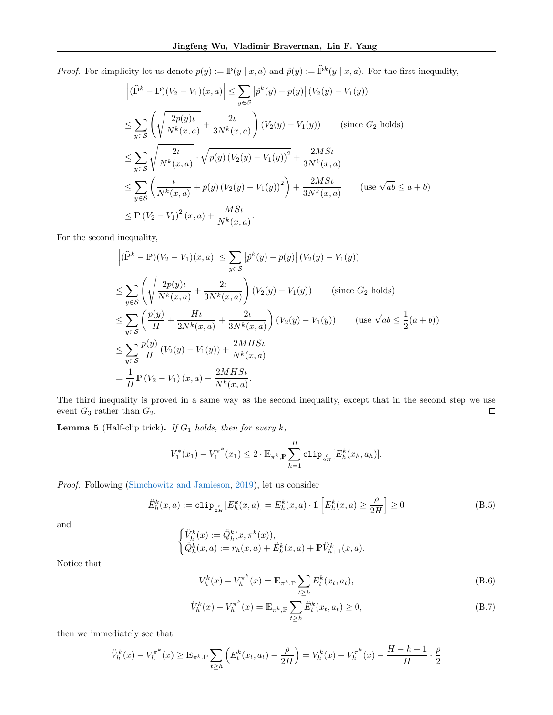*Proof.* For simplicity let us denote  $p(y) := \mathbb{P}(y | x, a)$  and  $\hat{p}(y) := \hat{\mathbb{P}}^k(y | x, a)$ . For the first inequality,

$$
\left| (\widehat{\mathbb{P}}^{k} - \mathbb{P})(V_{2} - V_{1})(x, a) \right| \leq \sum_{y \in S} \left| \widehat{p}^{k}(y) - p(y) \right| (V_{2}(y) - V_{1}(y))
$$
\n
$$
\leq \sum_{y \in S} \left( \sqrt{\frac{2p(y)\iota}{N^{k}(x, a)}} + \frac{2\iota}{3N^{k}(x, a)} \right) (V_{2}(y) - V_{1}(y)) \qquad \text{(since } G_{2} \text{ holds})
$$
\n
$$
\leq \sum_{y \in S} \sqrt{\frac{2\iota}{N^{k}(x, a)}} \cdot \sqrt{p(y) (V_{2}(y) - V_{1}(y))^{2}} + \frac{2MS\iota}{3N^{k}(x, a)}
$$
\n
$$
\leq \sum_{y \in S} \left( \frac{\iota}{N^{k}(x, a)} + p(y) (V_{2}(y) - V_{1}(y))^{2} \right) + \frac{2MS\iota}{3N^{k}(x, a)} \qquad \text{(use } \sqrt{ab} \leq a + b)
$$
\n
$$
\leq \mathbb{P} (V_{2} - V_{1})^{2}(x, a) + \frac{MS\iota}{N^{k}(x, a)}.
$$

For the second inequality,

$$
\left| (\widehat{\mathbb{P}}^k - \mathbb{P})(V_2 - V_1)(x, a) \right| \leq \sum_{y \in S} \left| \widehat{p}^k(y) - p(y) \right| (V_2(y) - V_1(y))
$$
  
\n
$$
\leq \sum_{y \in S} \left( \sqrt{\frac{2p(y)\iota}{N^k(x, a)}} + \frac{2\iota}{3N^k(x, a)} \right) (V_2(y) - V_1(y)) \qquad \text{(since } G_2 \text{ holds)}
$$
  
\n
$$
\leq \sum_{y \in S} \left( \frac{p(y)}{H} + \frac{H\iota}{2N^k(x, a)} + \frac{2\iota}{3N^k(x, a)} \right) (V_2(y) - V_1(y)) \qquad \text{(use } \sqrt{ab} \leq \frac{1}{2}(a + b))
$$
  
\n
$$
\leq \sum_{y \in S} \frac{p(y)}{H} (V_2(y) - V_1(y)) + \frac{2MHS\iota}{N^k(x, a)}
$$
  
\n
$$
= \frac{1}{H} \mathbb{P} (V_2 - V_1)(x, a) + \frac{2MHS\iota}{N^k(x, a)}.
$$

The third inequality is proved in a same way as the second inequality, except that in the second step we use event  $G_3$  rather than  $G_2$ .  $\Box$ 

<span id="page-14-2"></span>**Lemma 5** (Half-clip trick). If  $G_1$  holds, then for every  $k$ ,

$$
V_1^*(x_1) - V_1^{\pi^k}(x_1) \leq 2 \cdot \mathbb{E}_{\pi^k, \mathbb{P}} \sum_{h=1}^H \text{clip}_{\frac{\rho}{2H}}[E_h^k(x_h, a_h)].
$$

Proof. Following [\(Simchowitz and Jamieson,](#page-9-10) [2019\)](#page-9-10), let us consider

<span id="page-14-1"></span>
$$
\ddot{E}_h^k(x,a) := \text{clip}_{\frac{\rho}{2H}}[E_h^k(x,a)] = E_h^k(x,a) \cdot \mathbb{1}\left[E_h^k(x,a) \ge \frac{\rho}{2H}\right] \ge 0
$$
\n(B.5)

and

$$
\begin{cases} \ddot{V}_{h}^{k}(x):=\ddot{Q}_{h}^{k}(x,\pi^{k}(x)), \\ \ddot{Q}_{h}^{k}(x,a):=r_{h}(x,a)+\ddot{E}_{h}^{k}(x,a)+\mathbb{P}\ddot{V}_{h+1}^{k}(x,a). \end{cases}
$$

Notice that

<span id="page-14-0"></span>
$$
V_h^k(x) - V_h^{\pi^k}(x) = \mathbb{E}_{\pi^k \cdot \mathbb{P}} \sum_{t \ge h} E_t^k(x_t, a_t),
$$
 (B.6)

$$
\ddot{V}_h^k(x) - V_h^{\pi^k}(x) = \mathbb{E}_{\pi^k, \mathbb{P}} \sum_{t \ge h} \ddot{E}_t^k(x_t, a_t) \ge 0,
$$
\n(B.7)

then we immediately see that

$$
\ddot{V}_h^k(x) - V_h^{\pi^k}(x) \ge \mathbb{E}_{\pi^k \cdot \mathbb{P}} \sum_{t \ge h} \left( E_t^k(x_t, a_t) - \frac{\rho}{2H} \right) = V_h^k(x) - V_h^{\pi^k}(x) - \frac{H - h + 1}{H} \cdot \frac{\rho}{2}
$$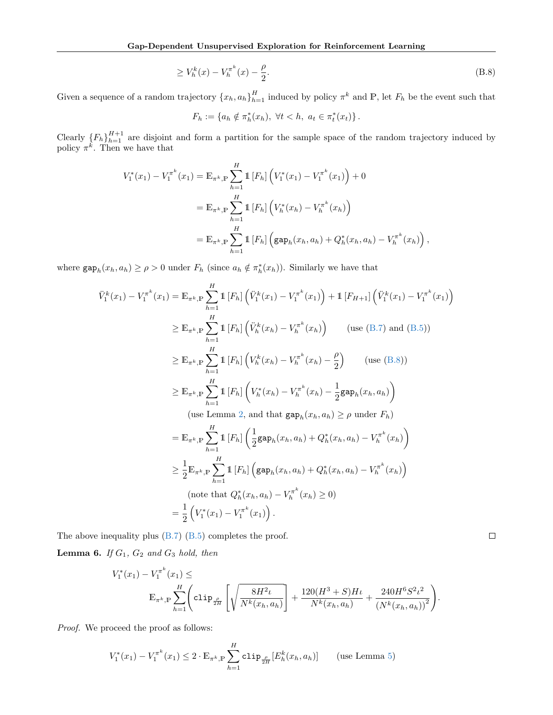$$
\geq V_h^k(x) - V_h^{\pi^k}(x) - \frac{\rho}{2}.\tag{B.8}
$$

Given a sequence of a random trajectory  $\{x_h, a_h\}_{h=1}^H$  induced by policy  $\pi^k$  and  $\mathbb{P}$ , let  $F_h$  be the event such that

<span id="page-15-0"></span>
$$
F_h := \{ a_h \notin \pi_h^*(x_h), \ \forall t < h, \ a_t \in \pi_t^*(x_t) \}.
$$

Clearly  ${F_h}_{h=1}^{H+1}$  are disjoint and form a partition for the sample space of the random trajectory induced by policy  $\pi^k$ . Then we have that

$$
V_1^*(x_1) - V_1^{\pi^k}(x_1) = \mathbb{E}_{\pi^k, \mathbb{P}} \sum_{h=1}^H \mathbb{1} [F_h] \left( V_1^*(x_1) - V_1^{\pi^k}(x_1) \right) + 0
$$
  

$$
= \mathbb{E}_{\pi^k, \mathbb{P}} \sum_{h=1}^H \mathbb{1} [F_h] \left( V_h^*(x_h) - V_h^{\pi^k}(x_h) \right)
$$
  

$$
= \mathbb{E}_{\pi^k, \mathbb{P}} \sum_{h=1}^H \mathbb{1} [F_h] \left( \text{gap}_h(x_h, a_h) + Q_h^*(x_h, a_h) - V_h^{\pi^k}(x_h) \right),
$$

where  $\text{gap}_h(x_h, a_h) \ge \rho > 0$  under  $F_h$  (since  $a_h \notin \pi_h^*(x_h)$ ). Similarly we have that

$$
\ddot{V}_{1}^{k}(x_{1}) - V_{1}^{\pi^{k}}(x_{1}) = \mathbb{E}_{\pi^{k},\mathbb{P}} \sum_{h=1}^{H} \mathbb{1} \left[ F_{h} \right] \left( \ddot{V}_{1}^{k}(x_{1}) - V_{1}^{\pi^{k}}(x_{1}) \right) + \mathbb{1} \left[ F_{H+1} \right] \left( \ddot{V}_{1}^{k}(x_{1}) - V_{1}^{\pi^{k}}(x_{1}) \right)
$$
\n
$$
\geq \mathbb{E}_{\pi^{k},\mathbb{P}} \sum_{h=1}^{H} \mathbb{1} \left[ F_{h} \right] \left( \ddot{V}_{h}^{k}(x_{h}) - V_{h}^{\pi^{k}}(x_{h}) \right) \qquad \text{(use (B.7) and (B.5))}
$$
\n
$$
\geq \mathbb{E}_{\pi^{k},\mathbb{P}} \sum_{h=1}^{H} \mathbb{1} \left[ F_{h} \right] \left( V_{h}^{k}(x_{h}) - V_{h}^{\pi^{k}}(x_{h}) - \frac{\rho}{2} \right) \qquad \text{(use (B.8))}
$$
\n
$$
\geq \mathbb{E}_{\pi^{k},\mathbb{P}} \sum_{h=1}^{H} \mathbb{1} \left[ F_{h} \right] \left( V_{h}^{*}(x_{h}) - V_{h}^{\pi^{k}}(x_{h}) - \frac{1}{2} \text{gap}_{h}(x_{h}, a_{h}) \right)
$$
\n
$$
\text{(use Lemma 2, and that } \text{gap}_{h}(x_{h}, a_{h}) \geq \rho \text{ under } F_{h})
$$
\n
$$
= \mathbb{E}_{\pi^{k},\mathbb{P}} \sum_{h=1}^{H} \mathbb{1} \left[ F_{h} \right] \left( \frac{1}{2} \text{gap}_{h}(x_{h}, a_{h}) + Q_{h}^{*}(x_{h}, a_{h}) - V_{h}^{\pi^{k}}(x_{h}) \right)
$$
\n
$$
\geq \frac{1}{2} \mathbb{E}_{\pi^{k},\mathbb{P}} \sum_{h=1}^{H} \mathbb{1} \left[ F_{h} \right] \left( \text{gap}_{h}(x_{h}, a_{h}) + Q_{h}^{*}(x_{h}, a_{h}) - V_{h}^{\
$$

The above inequality plus [\(B.7\)](#page-14-0) [\(B.5\)](#page-14-1) completes the proof.

<span id="page-15-1"></span>Lemma 6. If  $G_1$ ,  $G_2$  and  $G_3$  hold, then

$$
V_1^*(x_1) - V_1^{\pi^k}(x_1) \le
$$
  

$$
\mathbb{E}_{\pi^k, \mathbb{P}} \sum_{h=1}^H \left( \text{clip}_{\frac{\rho}{2H}} \left[ \sqrt{\frac{8H^2 \iota}{N^k(x_h, a_h)}} \right] + \frac{120(H^3 + S)H \iota}{N^k(x_h, a_h)} + \frac{240H^6 S^2 \iota^2}{(N^k(x_h, a_h))^2} \right).
$$

Proof. We proceed the proof as follows:

$$
V_1^*(x_1) - V_1^{\pi^k}(x_1) \le 2 \cdot \mathbb{E}_{\pi^k, \mathbb{P}} \sum_{h=1}^H \text{clip}_{\frac{\rho}{2H}} [E_h^k(x_h, a_h)] \qquad \text{(use Lemma 5)}
$$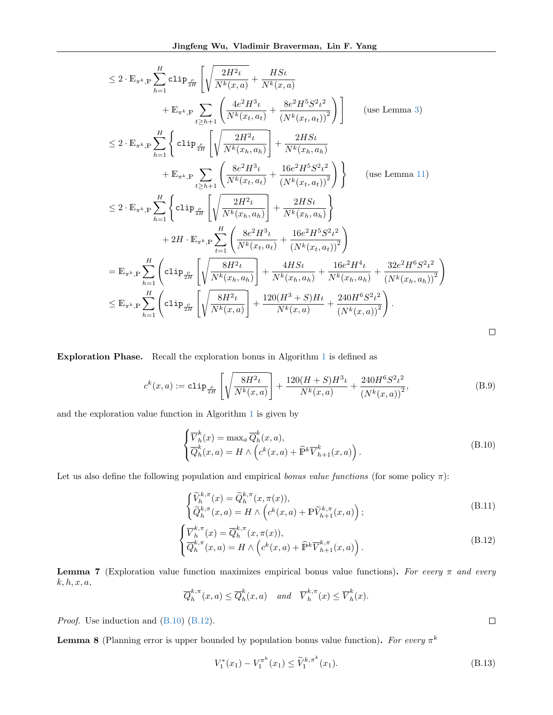$$
\leq 2 \cdot \mathbb{E}_{\pi^{k},\mathbb{P}} \sum_{h=1}^{H} \text{clip}_{\frac{\rho}{2H}} \left[ \sqrt{\frac{2H^{2} \iota}{N^{k}(x,a)}} + \frac{H S \iota}{N^{k}(x,a)} \right. \\
\left. + \mathbb{E}_{\pi^{k},\mathbb{P}} \sum_{t \geq h+1} \left( \frac{4e^{2}H^{3} \iota}{N^{k}(x_{t},a_{t})} + \frac{8e^{2}H^{5} S^{2} \iota^{2}}{(N^{k}(x_{t},a_{t}))^{2}} \right) \right] \qquad \text{(use Lemma 3)}
$$
\n
$$
\leq 2 \cdot \mathbb{E}_{\pi^{k},\mathbb{P}} \sum_{h=1}^{H} \left\{ \text{clip}_{\frac{\rho}{4H}} \left[ \sqrt{\frac{2H^{2} \iota}{N^{k}(x_{h},a_{h})}} + \frac{2H S \iota}{N^{k}(x_{h},a_{h})} \right. \\
\left. + \mathbb{E}_{\pi^{k},\mathbb{P}} \sum_{t \geq h+1} \left( \frac{8e^{2}H^{3} \iota}{N^{k}(x_{t},a_{t})} + \frac{16e^{2}H^{5} S^{2} \iota^{2}}{(N^{k}(x_{t},a_{t}))^{2}} \right) \right\} \qquad \text{(use Lemma 11)}
$$
\n
$$
\leq 2 \cdot \mathbb{E}_{\pi^{k},\mathbb{P}} \sum_{h=1}^{H} \left\{ \text{clip}_{\frac{\rho}{4H}} \left[ \sqrt{\frac{2H^{2} \iota}{N^{k}(x_{h},a_{h})}} + \frac{2H S \iota}{N^{k}(x_{h},a_{h})} \right. \right\}
$$
\n
$$
+ 2H \cdot \mathbb{E}_{\pi^{k},\mathbb{P}} \sum_{t=1}^{H} \left( \frac{8e^{2}H^{3} \iota}{N^{k}(x_{t},a_{t})} + \frac{16e^{2}H^{5} S^{2} \iota^{2}}{(N^{k}(x_{t},a_{t}))^{2}} \right)
$$
\n
$$
= \mathbb{E}_{\pi^{k},\mathbb{P}} \sum_{h=1}^{H} \left( \text{clip}_{\frac{\rho}{2H}} \left[ \sqrt{\frac{8H^{2} \iota}{N
$$

Exploration Phase. Recall the exploration bonus in Algorithm [1](#page-3-0) is defined as

<span id="page-16-3"></span>
$$
c^{k}(x,a) := \text{clip}_{\frac{\rho}{2H}}\left[\sqrt{\frac{8H^{2}\iota}{N^{k}(x,a)}}\right] + \frac{120(H+S)H^{3}\iota}{N^{k}(x,a)} + \frac{240H^{6}S^{2}\iota^{2}}{(N^{k}(x,a))^{2}},
$$
(B.9)

and the exploration value function in Algorithm [1](#page-3-0) is given by

<span id="page-16-0"></span>
$$
\begin{cases} \overline{V}_h^k(x) = \max_a \overline{Q}_h^k(x, a), \\ \overline{Q}_h^k(x, a) = H \wedge \left( c^k(x, a) + \widehat{\mathbb{P}}^k \overline{V}_{h+1}^k(x, a) \right). \end{cases}
$$
 (B.10)

 $\Box$ 

<span id="page-16-2"></span><span id="page-16-1"></span> $\Box$ 

Let us also define the following population and empirical bonus value functions (for some policy  $\pi$ ):

$$
\begin{cases}\n\widetilde{V}_h^{k,\pi}(x) = \widetilde{Q}_h^{k,\pi}(x,\pi(x)), \\
\widetilde{Q}_h^{k,\pi}(x,a) = H \wedge \left(c^k(x,a) + \mathbb{P}\widetilde{V}_{h+1}^{k,\pi}(x,a)\right); \n\end{cases}
$$
\n(B.11)

$$
\begin{cases} \nabla_h^{k,\pi}(x) = \overline{Q}_h^{k,\pi}(x,\pi(x)),\\ \nabla_h^{k,\pi}(x,a) = H \wedge \left( c^k(x,a) + \widehat{\mathbb{P}}^k \overline{V}_{h+1}^{k,\pi}(x,a) \right). \end{cases}
$$
\n(B.12)

<span id="page-16-5"></span>**Lemma 7** (Exploration value function maximizes empirical bonus value functions). For every  $\pi$  and every  $k, h, x, a,$ 

$$
\overline{Q}_h^{k,\pi}(x,a) \le \overline{Q}_h^k(x,a) \quad \text{and} \quad \overline{V}_h^{k,\pi}(x) \le \overline{V}_h^k(x).
$$

Proof. Use induction and  $(B.10)$   $(B.12)$ .

<span id="page-16-4"></span>**Lemma 8** (Planning error is upper bounded by population bonus value function). For every  $\pi^k$ 

$$
V_1^*(x_1) - V_1^{\pi^k}(x_1) \le \widetilde{V}_1^{k, \pi^k}(x_1). \tag{B.13}
$$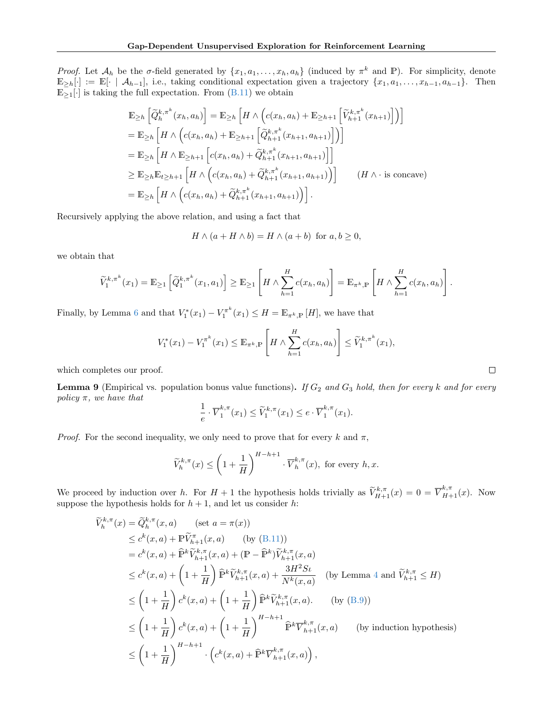Proof. Let  $\mathcal{A}_h$  be the  $\sigma$ -field generated by  $\{x_1, a_1, \ldots, x_h, a_h\}$  (induced by  $\pi^k$  and P). For simplicity, denote  $\mathbb{E}_{\geq h}[\cdot] := \mathbb{E}[\cdot \mid \mathcal{A}_{h-1}],$  i.e., taking conditional expectation given a trajectory  $\{x_1, a_1, \ldots, x_{h-1}, a_{h-1}\}.$  Then  $\mathbb{E}_{\geq 1}[\cdot]$  is taking the full expectation. From  $(B.11)$  we obtain

$$
\mathbb{E}_{\geq h} \left[ \widetilde{Q}_{h}^{k,\pi^{k}}(x_{h}, a_{h}) \right] = \mathbb{E}_{\geq h} \left[ H \wedge \left( c(x_{h}, a_{h}) + \mathbb{E}_{\geq h+1} \left[ \widetilde{V}_{h+1}^{k,\pi^{k}}(x_{h+1}) \right] \right) \right]
$$
\n
$$
= \mathbb{E}_{\geq h} \left[ H \wedge \left( c(x_{h}, a_{h}) + \mathbb{E}_{\geq h+1} \left[ \widetilde{Q}_{h+1}^{k,\pi^{k}}(x_{h+1}, a_{h+1}) \right] \right) \right]
$$
\n
$$
= \mathbb{E}_{\geq h} \left[ H \wedge \mathbb{E}_{\geq h+1} \left[ c(x_{h}, a_{h}) + \widetilde{Q}_{h+1}^{k,\pi^{k}}(x_{h+1}, a_{h+1}) \right] \right]
$$
\n
$$
\geq \mathbb{E}_{\geq h} \mathbb{E}_{t \geq h+1} \left[ H \wedge \left( c(x_{h}, a_{h}) + \widetilde{Q}_{h+1}^{k,\pi^{k}}(x_{h+1}, a_{h+1}) \right) \right] \qquad (H \wedge \text{ is concave})
$$
\n
$$
= \mathbb{E}_{\geq h} \left[ H \wedge \left( c(x_{h}, a_{h}) + \widetilde{Q}_{h+1}^{k,\pi^{k}}(x_{h+1}, a_{h+1}) \right) \right].
$$

Recursively applying the above relation, and using a fact that

$$
H \wedge (a + H \wedge b) = H \wedge (a + b) \text{ for } a, b \ge 0,
$$

we obtain that

$$
\widetilde{V}_1^{k,\pi^k}(x_1) = \mathbb{E}_{\geq 1}\left[\widetilde{Q}_1^{k,\pi^k}(x_1,a_1)\right] \geq \mathbb{E}_{\geq 1}\left[H \wedge \sum_{h=1}^H c(x_h,a_h)\right] = \mathbb{E}_{\pi^k,\mathbb{P}}\left[H \wedge \sum_{h=1}^H c(x_h,a_h)\right].
$$

Finally, by Lemma [6](#page-15-1) and that  $V_1^*(x_1) - V_1^{\pi^k}(x_1) \leq H = \mathbb{E}_{\pi^k, \mathbb{P}}[H]$ , we have that

$$
V_1^*(x_1) - V_1^{\pi^k}(x_1) \leq \mathbb{E}_{\pi^k, \mathbb{P}} \left[ H \wedge \sum_{h=1}^H c(x_h, a_h) \right] \leq \widetilde{V}_1^{k, \pi^k}(x_1),
$$

which completes our proof.

<span id="page-17-0"></span>**Lemma 9** (Empirical vs. population bonus value functions). If  $G_2$  and  $G_3$  hold, then for every k and for every policy  $\pi$ , we have that

$$
\frac{1}{e} \cdot \overline{V}_1^{k,\pi}(x_1) \le \widetilde{V}_1^{k,\pi}(x_1) \le e \cdot \overline{V}_1^{k,\pi}(x_1).
$$

*Proof.* For the second inequality, we only need to prove that for every k and  $\pi$ ,

$$
\widetilde{V}_h^{k,\pi}(x)\leq \left(1+\frac{1}{H}\right)^{H-h+1}\cdot \overline{V}_h^{k,\pi}(x), \text{ for every } h,x.
$$

We proceed by induction over h. For  $H + 1$  the hypothesis holds trivially as  $\widetilde{V}_{H+1}^{k,\pi}(x) = 0 = \overline{V}_{H+1}^{k,\pi}(x)$ . Now suppose the hypothesis holds for  $h + 1$ , and let us consider h:

$$
\tilde{V}_{h}^{k,\pi}(x) = \tilde{Q}_{h}^{k,\pi}(x, a) \quad (\text{set } a = \pi(x))
$$
\n
$$
\leq c^{k}(x, a) + \tilde{\mathbb{P}} \tilde{V}_{h+1}^{\pi}(x, a) \quad (\text{by (B.11)})
$$
\n
$$
= c^{k}(x, a) + \hat{\mathbb{P}}^{k} \tilde{V}_{h+1}^{k,\pi}(x, a) + (\mathbb{P} - \hat{\mathbb{P}}^{k}) \tilde{V}_{h+1}^{k,\pi}(x, a)
$$
\n
$$
\leq c^{k}(x, a) + \left(1 + \frac{1}{H}\right) \hat{\mathbb{P}}^{k} \tilde{V}_{h+1}^{k,\pi}(x, a) + \frac{3H^{2}St}{N^{k}(x, a)} \quad (\text{by Lemma 4 and } \tilde{V}_{h+1}^{k,\pi} \leq H)
$$
\n
$$
\leq \left(1 + \frac{1}{H}\right) c^{k}(x, a) + \left(1 + \frac{1}{H}\right) \hat{\mathbb{P}}^{k} \tilde{V}_{h+1}^{k,\pi}(x, a). \quad (\text{by (B.9)})
$$
\n
$$
\leq \left(1 + \frac{1}{H}\right) c^{k}(x, a) + \left(1 + \frac{1}{H}\right)^{H-h+1} \hat{\mathbb{P}}^{k} \overline{V}_{h+1}^{k,\pi}(x, a) \quad (\text{by induction hypothesis})
$$
\n
$$
\leq \left(1 + \frac{1}{H}\right)^{H-h+1} \cdot \left(c^{k}(x, a) + \hat{\mathbb{P}}^{k} \overline{V}_{h+1}^{k,\pi}(x, a)\right),
$$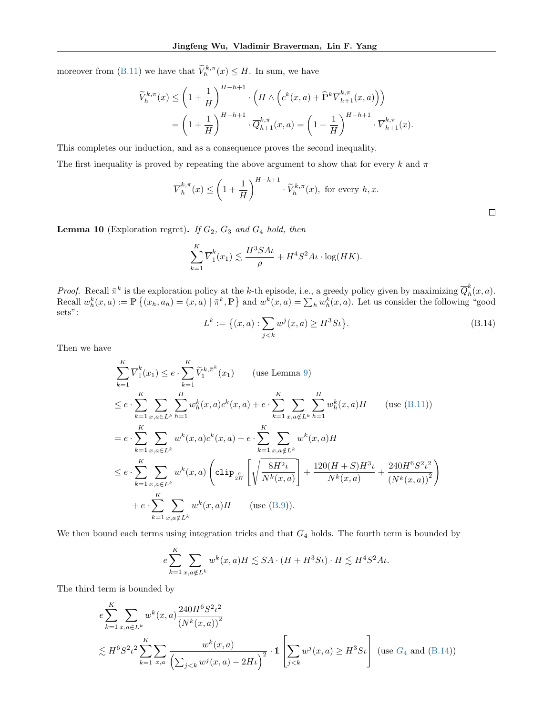moreover from [\(B.11\)](#page-16-2) we have that  $\widetilde{V}_h^{k,\pi}(x) \leq H$ . In sum, we have

$$
\widetilde{V}_h^{k,\pi}(x) \le \left(1 + \frac{1}{H}\right)^{H-h+1} \cdot \left(H \wedge \left(c^k(x,a) + \widehat{\mathbb{P}}^k \overline{V}_{h+1}^{k,\pi}(x,a)\right)\right)
$$
\n
$$
= \left(1 + \frac{1}{H}\right)^{H-h+1} \cdot \overline{Q}_{h+1}^{k,\pi}(x,a) = \left(1 + \frac{1}{H}\right)^{H-h+1} \cdot \overline{V}_{h+1}^{k,\pi}(x).
$$

This completes our induction, and as a consequence proves the second inequality.

The first inequality is proved by repeating the above argument to show that for every k and  $\pi$ 

$$
\overline{V}_h^{k,\pi}(x) \le \left(1 + \frac{1}{H}\right)^{H-h+1} \cdot \widetilde{V}_h^{k,\pi}(x), \text{ for every } h, x.
$$

<span id="page-18-1"></span>**Lemma 10** (Exploration regret). If  $G_2$ ,  $G_3$  and  $G_4$  hold, then

$$
\sum_{k=1}^{K} \overline{V}_1^k(x_1) \lesssim \frac{H^3 S A \iota}{\rho} + H^4 S^2 A \iota \cdot \log(HK).
$$

*Proof.* Recall  $\bar{\pi}^k$  is the exploration policy at the k-th episode, i.e., a greedy policy given by maximizing  $\bar{Q}_h^k$  $\int_h^n(x,a)$ . Recall  $w_h^k(x, a) := \mathbb{P}\left\{(x_h, a_h) = (x, a) \mid \bar{\pi}^k, \mathbb{P}\right\}$  and  $w^k(x, a) = \sum_h w_h^k(x, a)$ . Let us consider the following "good sets": $L^k := \left\{ (x, a) : \sum w^j(x, a) \geq H^3 S \iota \right\}$ 

<span id="page-18-0"></span>
$$
L^{k} := \{(x, a) : \sum_{j < k} w^{j}(x, a) \ge H^{3} S t\}.
$$
\n(B.14)

Then we have

$$
\sum_{k=1}^{K} \overline{V}_{1}^{k}(x_{1}) \leq e \cdot \sum_{k=1}^{K} \widetilde{V}_{1}^{k,\bar{\pi}^{k}}(x_{1}) \qquad \text{(use Lemma 9)}
$$
\n
$$
\leq e \cdot \sum_{k=1}^{K} \sum_{x,a \in L^{k}} \sum_{h=1}^{H} w_{h}^{k}(x,a) c^{k}(x,a) + e \cdot \sum_{k=1}^{K} \sum_{x,a \notin L^{k}} \sum_{h=1}^{H} w_{h}^{k}(x,a) H \qquad \text{(use (B.11))}
$$
\n
$$
= e \cdot \sum_{k=1}^{K} \sum_{x,a \in L^{k}} w^{k}(x,a) c^{k}(x,a) + e \cdot \sum_{k=1}^{K} \sum_{x,a \notin L^{k}} w^{k}(x,a) H
$$
\n
$$
\leq e \cdot \sum_{k=1}^{K} \sum_{x,a \in L^{k}} w^{k}(x,a) \left( \text{clip}_{\frac{\rho}{2H}} \left[ \sqrt{\frac{8H^{2} \iota}{N^{k}(x,a)}} \right] + \frac{120(H+S)H^{3} \iota}{N^{k}(x,a)} + \frac{240H^{6}S^{2} \iota^{2}}{(N^{k}(x,a))^{2}} \right)
$$
\n
$$
+ e \cdot \sum_{k=1}^{K} \sum_{x,a \notin L^{k}} w^{k}(x,a) H \qquad \text{(use (B.9))}.
$$

We then bound each terms using integration tricks and that  $G_4$  holds. The fourth term is bounded by

$$
e\sum_{k=1}^K \sum_{x,a \notin L^k} w^k(x,a)H \lesssim SA \cdot (H + H^3 S \iota) \cdot H \lesssim H^4 S^2 A \iota.
$$

The third term is bounded by

$$
e \sum_{k=1}^{K} \sum_{x,a \in L^k} w^k(x,a) \frac{240H^6 S^2 \iota^2}{(N^k(x,a))^2}
$$
  
 
$$
\lesssim H^6 S^2 \iota^2 \sum_{k=1}^{K} \sum_{x,a} \frac{w^k(x,a)}{\left(\sum_{j < k} w^j(x,a) - 2H\iota\right)^2} \cdot \mathbb{1} \left[\sum_{j < k} w^j(x,a) \ge H^3 S\iota\right] \text{ (use } G_4 \text{ and } (B.14))
$$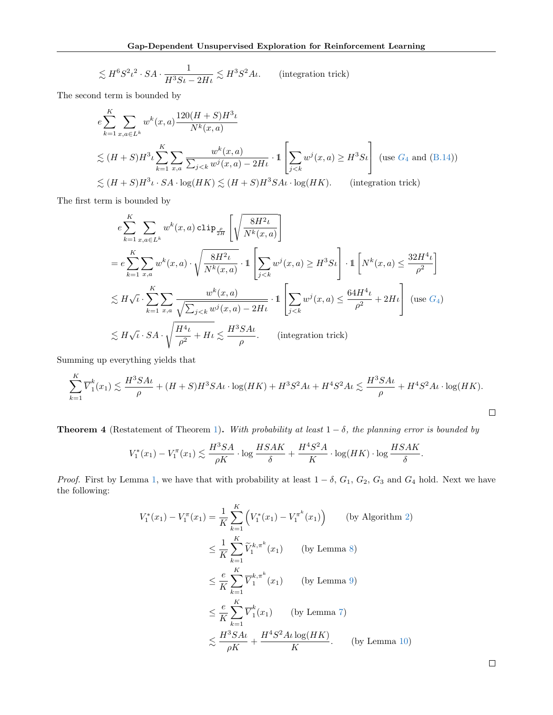$$
\lesssim H^6 S^2 \iota^2 \cdot SA \cdot \frac{1}{H^3 S \iota - 2H \iota} \lesssim H^3 S^2 A \iota. \qquad \text{(integration trick)}
$$

The second term is bounded by

$$
e \sum_{k=1}^{K} \sum_{x,a \in L^{k}} w^{k}(x,a) \frac{120(H+S)H^{3} \iota}{N^{k}(x,a)}
$$
  
\n
$$
\lesssim (H+S)H^{3} \iota \sum_{k=1}^{K} \sum_{x,a} \frac{w^{k}(x,a)}{\sum_{j < k} w^{j}(x,a) - 2H \iota} \cdot \mathbb{1} \left[ \sum_{j < k} w^{j}(x,a) \geq H^{3} S \iota \right] \text{ (use } G_{4} \text{ and } (B.14))
$$
  
\n
$$
\lesssim (H+S)H^{3} \iota \cdot SA \cdot \log(HK) \lesssim (H+S)H^{3} SA \iota \cdot \log(HK). \qquad \text{(integration trick)}
$$

The first term is bounded by

$$
e \sum_{k=1}^{K} \sum_{x,a \in L^{k}} w^{k}(x, a) \operatorname{clip}_{\frac{\rho}{2H}} \left[ \sqrt{\frac{8H^{2}\iota}{N^{k}(x, a)}} \right]
$$
  
\n
$$
= e \sum_{k=1}^{K} \sum_{x,a} w^{k}(x, a) \cdot \sqrt{\frac{8H^{2}\iota}{N^{k}(x, a)}} \cdot 1 \left[ \sum_{j < k} w^{j}(x, a) \geq H^{3} S \iota \right] \cdot 1 \left[ N^{k}(x, a) \leq \frac{32H^{4}\iota}{\rho^{2}} \right]
$$
  
\n
$$
\lesssim H \sqrt{\iota} \cdot \sum_{k=1}^{K} \sum_{x,a} \frac{w^{k}(x, a)}{\sqrt{\sum_{j < k} w^{j}(x, a) - 2H\iota}} \cdot 1 \left[ \sum_{j < k} w^{j}(x, a) \leq \frac{64H^{4}\iota}{\rho^{2}} + 2H\iota \right] \text{ (use } G_{4})
$$
  
\n
$$
\lesssim H \sqrt{\iota} \cdot SA \cdot \sqrt{\frac{H^{4}\iota}{\rho^{2}} + H\iota} \lesssim \frac{H^{3} SA\iota}{\rho}. \qquad \text{(integration trick)}
$$

Summing up everything yields that

$$
\sum_{k=1}^K \overline{V}_1^k(x_1) \lesssim \frac{H^3SA\iota}{\rho} + (H+S)H^3SA\iota \cdot \log(HK) + H^3S^2A\iota + H^4S^2A\iota \lesssim \frac{H^3SA\iota}{\rho} + H^4S^2A\iota \cdot \log(HK).
$$

**Theorem 4** (Restatement of Theorem [1\)](#page-4-3). With probability at least  $1 - \delta$ , the planning error is bounded by

$$
V_1^*(x_1) - V_1^{\pi}(x_1) \lesssim \frac{H^3SA}{\rho K} \cdot \log \frac{HSAK}{\delta} + \frac{H^4S^2A}{K} \cdot \log(HK) \cdot \log \frac{HSAK}{\delta}.
$$

*Proof.* First by Lemma [1,](#page-12-6) we have that with probability at least  $1 - \delta$ ,  $G_1$ ,  $G_2$ ,  $G_3$  and  $G_4$  hold. Next we have the following:

$$
V_1^*(x_1) - V_1^{\pi}(x_1) = \frac{1}{K} \sum_{k=1}^K \left( V_1^*(x_1) - V_1^{\pi^k}(x_1) \right) \qquad \text{(by Algorithm 2)}
$$
  
\n
$$
\leq \frac{1}{K} \sum_{k=1}^K \widetilde{V}_1^{k, \pi^k}(x_1) \qquad \text{(by Lemma 8)}
$$
  
\n
$$
\leq \frac{e}{K} \sum_{k=1}^K \overline{V}_1^{k, \pi^k}(x_1) \qquad \text{(by Lemma 9)}
$$
  
\n
$$
\leq \frac{e}{K} \sum_{k=1}^K \overline{V}_1^k(x_1) \qquad \text{(by Lemma 7)}
$$
  
\n
$$
\leq \frac{H^3 S A t}{\rho K} + \frac{H^4 S^2 A t \log(HK)}{K}. \qquad \text{(by Lemma 10)}
$$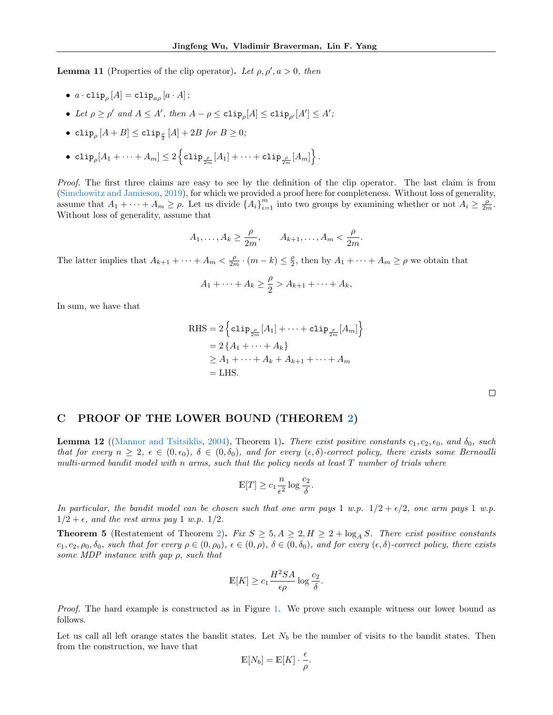<span id="page-20-1"></span>**Lemma 11** (Properties of the clip operator). Let  $\rho, \rho', a > 0$ , then

- $\bullet \ \ a \cdot \mathtt{clip}_{\rho}\left[A\right] = \mathtt{clip}_{a\rho}\left[a\cdot A\right];$
- Let  $\rho \ge \rho'$  and  $A \le A'$ , then  $A \rho \le c \text{Lip}_{\rho}[A] \le c \text{Lip}_{\rho'}[A'] \le A'$ ;
- $\bullet \; \, {\tt clip}_\rho \, [A+B] \le {\tt clip}_\frac{\rho}{2} \, [A] + 2B \; \textit{for} \; B \ge 0;$
- $\bullet \ \mathop{\mathrm{clip}}_\rho [A_1+\cdots+A_m] \leq 2 \left\{ \mathop{\mathrm{clip}}_{\frac{\rho}{2m}}[A_1] + \cdots + \mathop{\mathrm{clip}}_{\frac{\rho}{2m}}[A_m] \right\}.$

Proof. The first three claims are easy to see by the definition of the clip operator. The last claim is from [\(Simchowitz and Jamieson,](#page-9-10) [2019\)](#page-9-10), for which we provided a proof here for completeness. Without loss of generality, assume that  $A_1 + \cdots + A_m \ge \rho$ . Let us divide  $\{A_i\}_{i=1}^m$  into two groups by examining whether or not  $A_i \ge \frac{\rho}{2m}$ . Without loss of generality, assume that

$$
A_1, \ldots, A_k \ge \frac{\rho}{2m}, \qquad A_{k+1}, \ldots, A_m < \frac{\rho}{2m}.
$$

The latter implies that  $A_{k+1} + \cdots + A_m < \frac{\rho}{2m} \cdot (m-k) \leq \frac{\rho}{2}$  $\frac{\rho}{2}$ , then by  $A_1 + \cdots + A_m \ge \rho$  we obtain that

$$
A_1 + \cdots + A_k \geq \frac{\rho}{2} > A_{k+1} + \cdots + A_k,
$$

In sum, we have that

RHS = 
$$
2 \left\{ \text{clip}_{\frac{\rho}{2m}}[A_1] + \cdots + \text{clip}_{\frac{\rho}{2m}}[A_m] \right\}
$$
  
\n=  $2 \left\{ A_1 + \cdots + A_k \right\}$   
\n $\geq A_1 + \cdots + A_k + A_{k+1} + \cdots + A_m$   
\n= LHS.

#### <span id="page-20-0"></span>C PROOF OF THE LOWER BOUND (THEOREM [2\)](#page-4-4)

<span id="page-20-2"></span>**Lemma 12** ([\(Mannor and Tsitsiklis,](#page-9-13) [2004\)](#page-9-13), Theorem 1). There exist positive constants  $c_1, c_2, \epsilon_0$ , and  $\delta_0$ , such that for every  $n \geq 2$ ,  $\epsilon \in (0, \epsilon_0)$ ,  $\delta \in (0, \delta_0)$ , and for every  $(\epsilon, \delta)$ -correct policy, there exists some Bernoulli multi-armed bandit model with n arms, such that the policy needs at least  $T$  number of trials where

$$
\mathbb{E}[T] \ge c_1 \frac{n}{\epsilon^2} \log \frac{c_2}{\delta}.
$$

In particular, the bandit model can be chosen such that one arm pays 1 w.p.  $1/2 + \epsilon/2$ , one arm pays 1 w.p.  $1/2 + \epsilon$ , and the rest arms pay 1 w.p.  $1/2$ .

**Theorem 5** (Restatement of Theorem [2\)](#page-4-4). Fix  $S \geq 5, A \geq 2, H \geq 2 + \log_A S$ . There exist positive constants  $c_1, c_2, \rho_0, \delta_0$ , such that for every  $\rho \in (0, \rho_0), \epsilon \in (0, \rho), \delta \in (0, \delta_0),$  and for every  $(\epsilon, \delta)$ -correct policy, there exists some MDP instance with gap  $\rho$ , such that

$$
\mathbb{E}[K] \ge c_1 \frac{H^2 SA}{\epsilon \rho} \log \frac{c_2}{\delta}.
$$

Proof. The hard example is constructed as in Figure [1.](#page-6-1) We prove such example witness our lower bound as follows.

Let us call all left orange states the bandit states. Let  $N_b$  be the number of visits to the bandit states. Then from the construction, we have that

$$
\mathbb{E}[N_b] = \mathbb{E}[K] \cdot \frac{\epsilon}{\rho}.
$$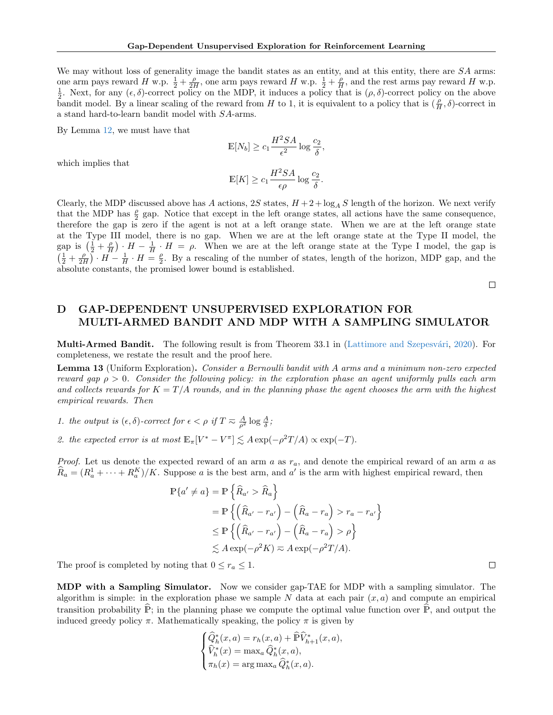We may without loss of generality image the bandit states as an entity, and at this entity, there are SA arms: one arm pays reward H w.p.  $\frac{1}{2} + \frac{\rho}{2H}$ , one arm pays reward H w.p.  $\frac{1}{2} + \frac{\rho}{H}$ , and the rest arms pay reward H w.p.  $\frac{1}{2}$ . Next, for any  $(\epsilon, \delta)$ -correct policy on the MDP, it induces a policy that is  $(\rho, \delta)$ -correct policy on the above bandit model. By a linear scaling of the reward from H to 1, it is equivalent to a policy that is  $(\frac{\rho}{H}, \delta)$ -correct in a stand hard-to-learn bandit model with SA-arms.

By Lemma [12,](#page-20-2) we must have that

$$
\mathbb{E}[N_b] \ge c_1 \frac{H^2 SA}{\epsilon^2} \log \frac{c_2}{\delta},
$$
  

$$
\mathbb{E}[K] \ge c_1 \frac{H^2 SA}{\epsilon^2} \log \frac{c_2}{\delta}.
$$

which implies that

$$
\mathbb{E}[K] \ge c_1 \frac{H^2 SA}{\epsilon \rho} \log \frac{c_2}{\delta}.
$$

Clearly, the MDP discussed above has A actions,  $2S$  states,  $H + 2 + \log_A S$  length of the horizon. We next verify that the MDP has  $\frac{\rho}{2}$  gap. Notice that except in the left orange states, all actions have the same consequence, therefore the gap is zero if the agent is not at a left orange state. When we are at the left orange state at the Type III model, there is no gap. When we are at the left orange state at the Type II model, the gap is  $(\frac{1}{2} + \frac{\rho}{H}) \cdot H - \frac{1}{H} \cdot H = \rho$ . When we are at the left orange state at the Type I model, the gap is  $\left(\frac{1}{2}+\frac{\rho}{2H}\right)\cdot H-\frac{1}{H}\cdot H=\frac{\rho}{2}$  $\frac{\rho}{2}$ . By a rescaling of the number of states, length of the horizon, MDP gap, and the absolute constants, the promised lower bound is established.

 $\Box$ 

# <span id="page-21-0"></span>D GAP-DEPENDENT UNSUPERVISED EXPLORATION FOR MULTI-ARMED BANDIT AND MDP WITH A SAMPLING SIMULATOR

**Multi-Armed Bandit.** The following result is from Theorem 33.1 in (Lattimore and Szepesvári, [2020\)](#page-9-14). For completeness, we restate the result and the proof here.

Lemma 13 (Uniform Exploration). Consider a Bernoulli bandit with A arms and a minimum non-zero expected reward gap  $\rho > 0$ . Consider the following policy: in the exploration phase an agent uniformly pulls each arm and collects rewards for  $K = T/A$  rounds, and in the planning phase the agent chooses the arm with the highest empirical rewards. Then

1. the output is  $(\epsilon, \delta)$ -correct for  $\epsilon < \rho$  if  $T \approx \frac{A}{\rho^2} \log \frac{A}{\delta}$ ;

2. the expected error is at most  $\mathbb{E}_{\pi}[V^* - V^{\pi}] \lesssim A \exp(-\rho^2 T/A) \propto \exp(-T)$ .

*Proof.* Let us denote the expected reward of an arm a as  $r_a$ , and denote the empirical reward of an arm a as  $\widehat{R}_a = (R_a^1 + \cdots + R_a^K)/K$ . Suppose a is the best arm, and a' is the arm with highest empirical reward, then

$$
\mathbb{P}\{a' \neq a\} = \mathbb{P}\left\{\widehat{R}_{a'} > \widehat{R}_a\right\}
$$
  
=  $\mathbb{P}\left\{\left(\widehat{R}_{a'} - r_{a'}\right) - \left(\widehat{R}_a - r_a\right) > r_a - r_{a'}\right\}$   
 $\leq \mathbb{P}\left\{\left(\widehat{R}_{a'} - r_{a'}\right) - \left(\widehat{R}_a - r_a\right) > \rho\right\}$   
 $\leq A \exp(-\rho^2 K) \approx A \exp(-\rho^2 T/A).$ 

The proof is completed by noting that  $0 \le r_a \le 1$ .

MDP with a Sampling Simulator. Now we consider gap-TAE for MDP with a sampling simulator. The algorithm is simple: in the exploration phase we sample N data at each pair  $(x, a)$  and compute an empirical transition probability  $\hat{P}$ ; in the planning phase we compute the optimal value function over  $\hat{P}$ , and output the induced greedy policy  $\pi$ . Mathematically speaking, the policy  $\pi$  is given by

$$
\begin{cases} \widehat{Q}_h^*(x, a) = r_h(x, a) + \widehat{\mathbb{P}} \widehat{V}_{h+1}^*(x, a), \\ \widehat{V}_h^*(x) = \max_a \widehat{Q}_h^*(x, a), \\ \pi_h(x) = \arg \max_a \widehat{Q}_h^*(x, a). \end{cases}
$$